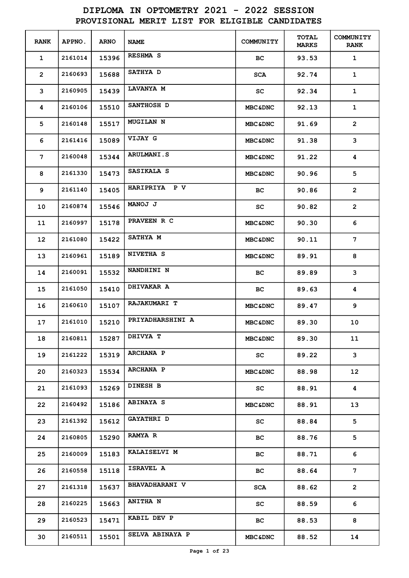| <b>RANK</b>    | APPNO.  | <b>ARNO</b> | <b>NAME</b>            | COMMUNITY          | <b>TOTAL</b><br><b>MARKS</b> | <b>COMMUNITY</b><br><b>RANK</b> |
|----------------|---------|-------------|------------------------|--------------------|------------------------------|---------------------------------|
| $\mathbf 1$    | 2161014 | 15396       | <b>RESHMA S</b>        | BС                 | 93.53                        | $\mathbf{1}$                    |
| $\overline{2}$ | 2160693 | 15688       | SATHYA D               | <b>SCA</b>         | 92.74                        | $\mathbf 1$                     |
| 3              | 2160905 | 15439       | <b>LAVANYA M</b>       | SC                 | 92.34                        | $\mathbf{1}$                    |
| 4              | 2160106 | 15510       | SANTHOSH D             | <b>MBC&amp;DNC</b> | 92.13                        | $\mathbf{1}$                    |
| 5              | 2160148 | 15517       | <b>MUGILAN N</b>       | <b>MBC&amp;DNC</b> | 91.69                        | $\overline{2}$                  |
| 6              | 2161416 | 15089       | <b>VIJAY G</b>         | <b>MBC&amp;DNC</b> | 91.38                        | 3                               |
| 7              | 2160048 | 15344       | <b>ARULMANI.S</b>      | <b>MBC&amp;DNC</b> | 91.22                        | 4                               |
| 8              | 2161330 | 15473       | SASIKALA S             | <b>MBC&amp;DNC</b> | 90.96                        | 5                               |
| 9              | 2161140 | 15405       | HARIPRIYA P V          | BС                 | 90.86                        | $\overline{2}$                  |
| 10             | 2160874 | 15546       | <b>MANOJ J</b>         | SC                 | 90.82                        | $\overline{2}$                  |
| 11             | 2160997 | 15178       | PRAVEEN R C            | <b>MBC&amp;DNC</b> | 90.30                        | 6                               |
| 12             | 2161080 | 15422       | SATHYA M               | <b>MBC&amp;DNC</b> | 90.11                        | 7                               |
| 13             | 2160961 | 15189       | NIVETHA S              | <b>MBC&amp;DNC</b> | 89.91                        | 8                               |
| 14             | 2160091 | 15532       | NANDHINI N             | BС                 | 89.89                        | 3                               |
| 15             | 2161050 | 15410       | DHIVAKAR A             | BС                 | 89.63                        | 4                               |
| 16             | 2160610 | 15107       | RAJAKUMARI T           | <b>MBC&amp;DNC</b> | 89.47                        | 9                               |
| 17             | 2161010 | 15210       | PRIYADHARSHINI A       | <b>MBC&amp;DNC</b> | 89.30                        | 10                              |
| 18             | 2160811 | 15287       | DHIVYA T               | <b>MBC&amp;DNC</b> | 89.30                        | 11                              |
| 19             | 2161222 | 15319       | ARCHANA P              | SC                 | 89.22                        | 3                               |
| 20             | 2160323 | 15534       | ARCHANA P              | <b>MBC&amp;DNC</b> | 88.98                        | 12 <sup>2</sup>                 |
| 21             | 2161093 | 15269       | DINESH B               | SC                 | 88.91                        | 4                               |
| 22             | 2160492 | 15186       | <b>ABINAYA S</b>       | <b>MBC&amp;DNC</b> | 88.91                        | 13                              |
| 23             | 2161392 | 15612       | <b>GAYATHRI D</b>      | SC.                | 88.84                        | 5                               |
| 24             | 2160805 | 15290       | <b>RAMYA R</b>         | BC.                | 88.76                        | 5                               |
| 25             | 2160009 | 15183       | <b>KALAISELVI M</b>    | BC.                | 88.71                        | 6                               |
| 26             | 2160558 | 15118       | <b>ISRAVEL A</b>       | BC.                | 88.64                        | 7                               |
| 27             | 2161318 | 15637       | <b>BHAVADHARANI V</b>  | SCA                | 88.62                        | $\overline{2}$                  |
| 28             | 2160225 | 15663       | <b>ANITHA N</b>        | SC                 | 88.59                        | 6                               |
| 29             | 2160523 | 15471       | KABIL DEV P            | ВC                 | 88.53                        | 8                               |
| 30             | 2160511 | 15501       | <b>SELVA ABINAYA P</b> | <b>MBC&amp;DNC</b> | 88.52                        | 14                              |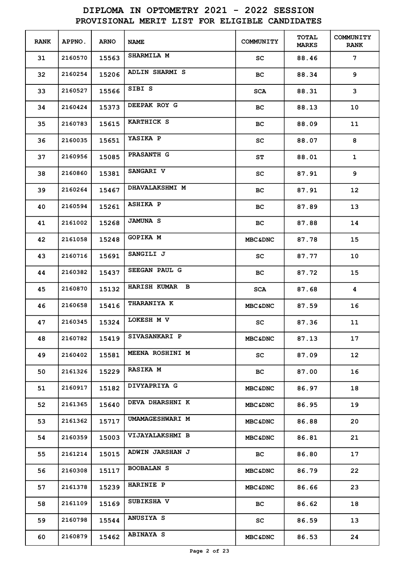| <b>RANK</b> | APPNO.  | <b>ARNO</b> | <b>NAME</b>            | COMMUNITY          | <b>TOTAL</b><br><b>MARKS</b> | <b>COMMUNITY</b><br><b>RANK</b> |
|-------------|---------|-------------|------------------------|--------------------|------------------------------|---------------------------------|
| 31          | 2160570 | 15563       | <b>SHARMILA M</b>      | SC                 | 88.46                        | 7                               |
| 32          | 2160254 | 15206       | <b>ADLIN SHARMI S</b>  | BС                 | 88.34                        | 9                               |
| 33          | 2160527 | 15566       | SIBI S                 | <b>SCA</b>         | 88.31                        | 3                               |
| 34          | 2160424 | 15373       | DEEPAK ROY G           | BС                 | 88.13                        | 10                              |
| 35          | 2160783 | 15615       | <b>KARTHICK S</b>      | BС                 | 88.09                        | 11                              |
| 36          | 2160035 | 15651       | YASIKA P               | SC                 | 88.07                        | 8                               |
| 37          | 2160956 | 15085       | <b>PRASANTH G</b>      | SΤ                 | 88.01                        | $\mathbf 1$                     |
| 38          | 2160860 | 15381       | <b>SANGARI V</b>       | SC                 | 87.91                        | 9                               |
| 39          | 2160264 | 15467       | DHAVALAKSHMI M         | BС                 | 87.91                        | $12 \overline{ }$               |
| 40          | 2160594 | 15261       | <b>ASHIKA P</b>        | BС                 | 87.89                        | 13                              |
| 41          | 2161002 | 15268       | <b>JAMUNA S</b>        | BC.                | 87.88                        | 14                              |
| 42          | 2161058 | 15248       | <b>GOPIKA M</b>        | <b>MBC&amp;DNC</b> | 87.78                        | 15                              |
| 43          | 2160716 | 15691       | SANGILI J              | SC                 | 87.77                        | 10                              |
| 44          | 2160382 | 15437       | SEEGAN PAUL G          | BС                 | 87.72                        | 15                              |
| 45          | 2160870 | 15132       | HARISH KUMAR B         | <b>SCA</b>         | 87.68                        | 4                               |
| 46          | 2160658 | 15416       | <b>THARANIYA K</b>     | <b>MBC&amp;DNC</b> | 87.59                        | 16                              |
| 47          | 2160345 | 15324       | LOKESH M V             | SC                 | 87.36                        | 11                              |
| 48          | 2160782 | 15419       | SIVASANKARI P          | <b>MBC&amp;DNC</b> | 87.13                        | 17                              |
| 49          | 2160402 | 15581       | MEENA ROSHINI M        | SC.                | 87.09                        | 12 <sub>2</sub>                 |
| 50          | 2161326 | 15229       | <b>RASIKA M</b>        | BC.                | 87.00                        | 16                              |
| 51          | 2160917 | 15182       | DIVYAPRIYA G           | <b>MBC&amp;DNC</b> | 86.97                        | 18                              |
| 52          | 2161365 | 15640       | <b>DEVA DHARSHNI K</b> | <b>MBC&amp;DNC</b> | 86.95                        | 19                              |
| 53          | 2161362 | 15717       | UMAMAGESHWARI M        | <b>MBC&amp;DNC</b> | 86.88                        | 20                              |
| 54          | 2160359 | 15003       | <b>VIJAYALAKSHMI B</b> | <b>MBC&amp;DNC</b> | 86.81                        | 21                              |
| 55          | 2161214 | 15015       | <b>ADWIN JARSHAN J</b> | BC.                | 86.80                        | 17                              |
| 56          | 2160308 | 15117       | <b>BOOBALAN S</b>      | <b>MBC&amp;DNC</b> | 86.79                        | 22 <sub>2</sub>                 |
| 57          | 2161378 | 15239       | <b>HARINIE P</b>       | <b>MBC&amp;DNC</b> | 86.66                        | 23                              |
| 58          | 2161109 | 15169       | SUBIKSHA V             | BC.                | 86.62                        | 18                              |
| 59          | 2160798 | 15544       | <b>ANUSIYA S</b>       | SC                 | 86.59                        | 13                              |
| 60          | 2160879 | 15462       | <b>ABINAYA S</b>       | <b>MBC&amp;DNC</b> | 86.53                        | 24                              |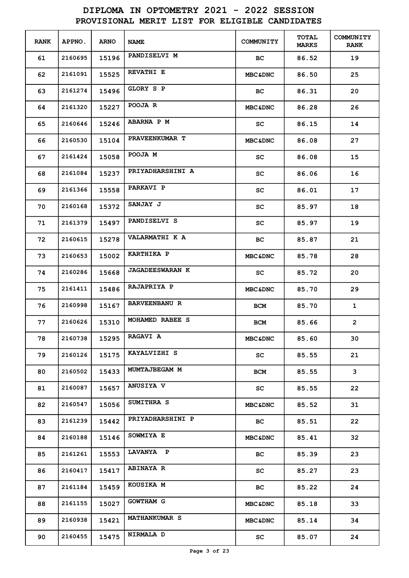| <b>RANK</b> | APPNO.  | <b>ARNO</b> | <b>NAME</b>            | COMMUNITY          | <b>TOTAL</b><br><b>MARKS</b> | <b>COMMUNITY</b><br><b>RANK</b> |
|-------------|---------|-------------|------------------------|--------------------|------------------------------|---------------------------------|
| 61          | 2160695 | 15196       | PANDISELVI M           | BC.                | 86.52                        | 19                              |
| 62          | 2161091 | 15525       | <b>REVATHI E</b>       | <b>MBC&amp;DNC</b> | 86.50                        | 25                              |
| 63          | 2161274 | 15496       | GLORY S P              | BC.                | 86.31                        | 20                              |
| 64          | 2161320 | 15227       | POOJA R                | <b>MBC&amp;DNC</b> | 86.28                        | 26                              |
| 65          | 2160646 | 15246       | <b>ABARNA P M</b>      | SC                 | 86.15                        | 14                              |
| 66          | 2160530 | 15104       | PRAVEENKUMAR T         | <b>MBC&amp;DNC</b> | 86.08                        | 27                              |
| 67          | 2161424 | 15058       | POOJA M                | SC                 | 86.08                        | 15                              |
| 68          | 2161084 | 15237       | PRIYADHARSHINI A       | SC                 | 86.06                        | 16                              |
| 69          | 2161366 | 15558       | <b>PARKAVI P</b>       | SC                 | 86.01                        | 17                              |
| 70          | 2160168 | 15372       | <b>SANJAY J</b>        | SC                 | 85.97                        | 18                              |
| 71          | 2161379 | 15497       | PANDISELVI S           | SC                 | 85.97                        | 19                              |
| 72          | 2160615 | 15278       | VALARMATHI K A         | BC.                | 85.87                        | 21                              |
| 73          | 2160653 | 15002       | <b>KARTHIKA P</b>      | <b>MBC&amp;DNC</b> | 85.78                        | 28                              |
| 74          | 2160286 | 15668       | <b>JAGADEESWARAN K</b> | SC                 | 85.72                        | 20                              |
| 75          | 2161411 | 15486       | RAJAPRIYA P            | <b>MBC&amp;DNC</b> | 85.70                        | 29                              |
| 76          | 2160998 | 15167       | <b>BARVEENBANU R</b>   | <b>BCM</b>         | 85.70                        | $\mathbf{1}$                    |
| 77          | 2160626 | 15310       | MOHAMED RABEE S        | BCM                | 85.66                        | $\overline{2}$                  |
| 78          | 2160738 | 15295       | <b>RAGAVI A</b>        | <b>MBC&amp;DNC</b> | 85.60                        | 30                              |
| 79          | 2160126 | 15175       | KAYALVIZHI S           | SC.                | 85.55                        | 21                              |
| 80          | 2160502 | 15433       | MUMTAJBEGAM M          | BCM                | 85.55                        | 3                               |
| 81          | 2160087 | 15657       | <b>ANUSIYA V</b>       | SC                 | 85.55                        | 22 <sub>2</sub>                 |
| 82          | 2160547 | 15056       | SUMITHRA S             | <b>MBC&amp;DNC</b> | 85.52                        | 31                              |
| 83          | 2161239 | 15442       | PRIYADHARSHINI P       | BC.                | 85.51                        | 22 <sub>2</sub>                 |
| 84          | 2160188 | 15146       | SOWMIYA E              | <b>MBC&amp;DNC</b> | 85.41                        | 32                              |
| 85          | 2161261 | 15553       | LAVANYA P              | BC.                | 85.39                        | 23                              |
| 86          | 2160417 | 15417       | <b>ABINAYA R</b>       | SC                 | 85.27                        | 23                              |
| 87          | 2161184 | 15459       | KOUSIKA M              | ВC                 | 85.22                        | 24                              |
| 88          | 2161155 | 15027       | <b>GOWTHAM G</b>       | <b>MBC&amp;DNC</b> | 85.18                        | 33                              |
| 89          | 2160938 | 15421       | <b>MATHANKUMAR S</b>   | <b>MBC&amp;DNC</b> | 85.14                        | 34                              |
| 90          | 2160455 | 15475       | NIRMALA D              | SC                 | 85.07                        | 24                              |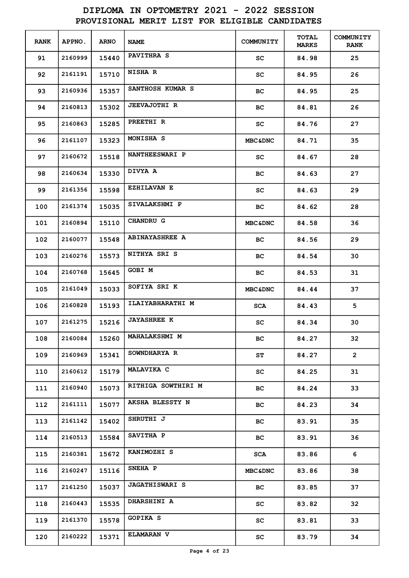| <b>RANK</b> | APPNO.  | <b>ARNO</b> | <b>NAME</b>           | COMMUNITY          | <b>TOTAL</b><br><b>MARKS</b> | <b>COMMUNITY</b><br><b>RANK</b> |
|-------------|---------|-------------|-----------------------|--------------------|------------------------------|---------------------------------|
| 91          | 2160999 | 15440       | <b>PAVITHRA S</b>     | SC                 | 84.98                        | 25                              |
| 92          | 2161191 | 15710       | <b>NISHA R</b>        | SC                 | 84.95                        | 26                              |
| 93          | 2160936 | 15357       | SANTHOSH KUMAR S      | BС                 | 84.95                        | 25                              |
| 94          | 2160813 | 15302       | <b>JEEVAJOTHI R</b>   | BС                 | 84.81                        | 26                              |
| 95          | 2160863 | 15285       | PREETHI R             | SC                 | 84.76                        | 27                              |
| 96          | 2161107 | 15323       | MONISHA S             | <b>MBC&amp;DNC</b> | 84.71                        | 35                              |
| 97          | 2160672 | 15518       | <b>NANTHEESWARI P</b> | SC                 | 84.67                        | 28                              |
| 98          | 2160634 | 15330       | DIVYA A               | BС                 | 84.63                        | 27                              |
| 99          | 2161356 | 15598       | <b>EZHILAVAN E</b>    | SC                 | 84.63                        | 29                              |
| 100         | 2161374 | 15035       | SIVALAKSHMI P         | BC.                | 84.62                        | 28                              |
| 101         | 2160894 | 15110       | <b>CHANDRU G</b>      | <b>MBC&amp;DNC</b> | 84.58                        | 36                              |
| 102         | 2160077 | 15548       | <b>ABINAYASHREE A</b> | BC.                | 84.56                        | 29                              |
| 103         | 2160276 | 15573       | NITHYA SRI S          | BС                 | 84.54                        | 30                              |
| 104         | 2160768 | 15645       | GOBI M                | BC.                | 84.53                        | 31                              |
| 105         | 2161049 | 15033       | SOFIYA SRI K          | <b>MBC&amp;DNC</b> | 84.44                        | 37                              |
| 106         | 2160828 | 15193       | ILAIYABHARATHI M      | <b>SCA</b>         | 84.43                        | 5                               |
| 107         | 2161275 | 15216       | <b>JAYASHREE K</b>    | SC                 | 84.34                        | 30                              |
| 108         | 2160084 | 15260       | MAHALAKSHMI M         | вc                 | 84.27                        | 32                              |
| 109         | 2160969 | 15341       | SOWNDHARYA R          | ST                 | 84.27                        | $\overline{2}$                  |
| 110         | 2160612 | 15179       | <b>MALAVIKA C</b>     | SC                 | 84.25                        | 31                              |
| 111         | 2160940 | 15073       | RITHIGA SOWTHIRI M    | ВC                 | 84.24                        | 33                              |
| 112         | 2161111 | 15077       | AKSHA BLESSTY N       | ВC                 | 84.23                        | 34                              |
| 113         | 2161142 | 15402       | SHRUTHI J             | ВC                 | 83.91                        | 35                              |
| 114         | 2160513 | 15584       | SAVITHA P             | ВC                 | 83.91                        | 36                              |
| 115         | 2160381 | 15672       | KANIMOZHI S           | <b>SCA</b>         | 83.86                        | 6                               |
| 116         | 2160247 | 15116       | SNEHA P               | <b>MBC&amp;DNC</b> | 83.86                        | 38                              |
| 117         | 2161250 | 15037       | <b>JAGATHISWARI S</b> | ВC                 | 83.85                        | 37                              |
| 118         | 2160443 | 15535       | <b>DHARSHINI A</b>    | SC                 | 83.82                        | 32                              |
| 119         | 2161370 | 15578       | <b>GOPIKA S</b>       | SC                 | 83.81                        | 33                              |
| 120         | 2160222 | 15371       | <b>ELAMARAN V</b>     | SC                 | 83.79                        | 34                              |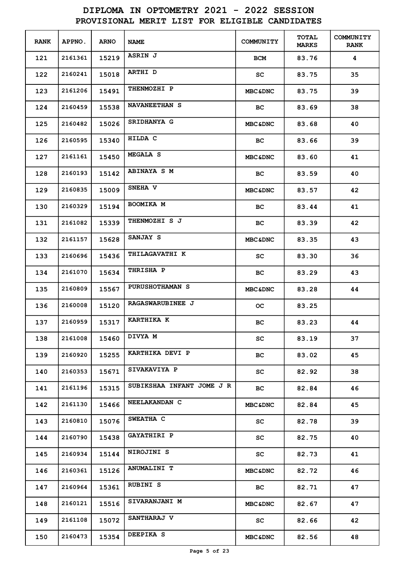| <b>RANK</b> | <b>APPNO.</b> | <b>ARNO</b> | <b>NAME</b>               | COMMUNITY          | <b>TOTAL</b><br><b>MARKS</b> | COMMUNITY<br><b>RANK</b> |
|-------------|---------------|-------------|---------------------------|--------------------|------------------------------|--------------------------|
| 121         | 2161361       | 15219       | ASRIN J                   | BCM                | 83.76                        | 4                        |
| 122         | 2160241       | 15018       | <b>ARTHI D</b>            | SC                 | 83.75                        | 35                       |
| 123         | 2161206       | 15491       | <b>THENMOZHI P</b>        | <b>MBC&amp;DNC</b> | 83.75                        | 39                       |
| 124         | 2160459       | 15538       | <b>NAVANEETHAN S</b>      | BС                 | 83.69                        | 38                       |
| 125         | 2160482       | 15026       | <b>SRIDHANYA G</b>        | <b>MBC&amp;DNC</b> | 83.68                        | 40                       |
| 126         | 2160595       | 15340       | HILDA C                   | BС                 | 83.66                        | 39                       |
| 127         | 2161161       | 15450       | <b>MEGALA S</b>           | <b>MBC&amp;DNC</b> | 83.60                        | 41                       |
| 128         | 2160193       | 15142       | <b>ABINAYA S M</b>        | ВC                 | 83.59                        | 40                       |
| 129         | 2160835       | 15009       | SNEHA V                   | <b>MBC&amp;DNC</b> | 83.57                        | 42                       |
| 130         | 2160329       | 15194       | <b>BOOMIKA M</b>          | BС                 | 83.44                        | 41                       |
| 131         | 2161082       | 15339       | THENMOZHI S J             | BС                 | 83.39                        | 42                       |
| 132         | 2161157       | 15628       | SANJAY S                  | <b>MBC&amp;DNC</b> | 83.35                        | 43                       |
| 133         | 2160696       | 15436       | <b>THILAGAVATHI K</b>     | SC                 | 83.30                        | 36                       |
| 134         | 2161070       | 15634       | THRISHA P                 | вc                 | 83.29                        | 43                       |
| 135         | 2160809       | 15567       | <b>PURUSHOTHAMAN S</b>    | <b>MBC&amp;DNC</b> | 83.28                        | 44                       |
| 136         | 2160008       | 15120       | RAGASWARUBINEE J          | oс                 | 83.25                        |                          |
| 137         | 2160959       | 15317       | <b>KARTHIKA K</b>         | BС                 | 83.23                        | 44                       |
| 138         | 2161008       | 15460       | DIVYA M                   | SC                 | 83.19                        | 37                       |
| 139         | 2160920       | 15255       | KARTHIKA DEVI P           | BC.                | 83.02                        | 45                       |
| 140         | 2160353       | 15671       | <b>SIVAKAVIYA P</b>       | SC                 | 82.92                        | 38                       |
| 141         | 2161196       | 15315       | SUBIKSHAA INFANT JOME J R | BC                 | 82.84                        | 46                       |
| 142         | 2161130       | 15466       | NEELAKANDAN C             | <b>MBC&amp;DNC</b> | 82.84                        | 45                       |
| 143         | 2160810       | 15076       | SWEATHA C                 | SC.                | 82.78                        | 39                       |
| 144         | 2160790       | 15438       | <b>GAYATHIRI P</b>        | SC.                | 82.75                        | 40                       |
| 145         | 2160934       | 15144       | NIROJINI S                | SC                 | 82.73                        | 41                       |
| 146         | 2160361       | 15126       | <b>ANUMALINI T</b>        | <b>MBC&amp;DNC</b> | 82.72                        | 46                       |
| 147         | 2160964       | 15361       | <b>RUBINI S</b>           | BC                 | 82.71                        | 47                       |
| 148         | 2160121       | 15516       | <b>SIVARANJANI M</b>      | <b>MBC&amp;DNC</b> | 82.67                        | 47                       |
| 149         | 2161108       | 15072       | <b>SANTHARAJ V</b>        | SC                 | 82.66                        | 42                       |
| 150         | 2160473       | 15354       | DEEPIKA S                 | <b>MBC&amp;DNC</b> | 82.56                        | 48                       |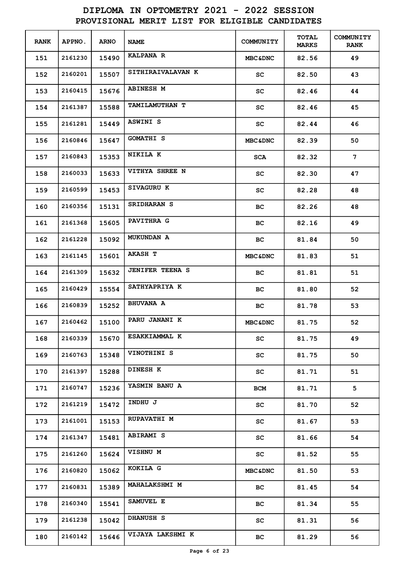| <b>RANK</b> | APPNO.  | <b>ARNO</b> | <b>NAME</b>            | COMMUNITY                  | <b>TOTAL</b><br><b>MARKS</b> | <b>COMMUNITY</b><br><b>RANK</b> |
|-------------|---------|-------------|------------------------|----------------------------|------------------------------|---------------------------------|
| 151         | 2161230 | 15490       | <b>KALPANA R</b>       | <b>MBC&amp;DNC</b>         | 82.56                        | 49                              |
| 152         | 2160201 | 15507       | SITHIRAIVALAVAN K      | SC                         | 82.50                        | 43                              |
| 153         | 2160415 | 15676       | <b>ABINESH M</b>       | SC                         | 82.46                        | 44                              |
| 154         | 2161387 | 15588       | <b>TAMILAMUTHAN T</b>  | SC                         | 82.46                        | 45                              |
| 155         | 2161281 | 15449       | <b>ASWINI S</b>        | SC                         | 82.44                        | 46                              |
| 156         | 2160846 | 15647       | <b>GOMATHI S</b>       | <b>MBC&amp;DNC</b>         | 82.39                        | 50                              |
| 157         | 2160843 | 15353       | NIKILA K               | <b>SCA</b>                 | 82.32                        | $7\phantom{.}$                  |
| 158         | 2160033 | 15633       | VITHYA SHREE N         | SC                         | 82.30                        | 47                              |
| 159         | 2160599 | 15453       | <b>SIVAGURU K</b>      | SC                         | 82.28                        | 48                              |
| 160         | 2160356 | 15131       | SRIDHARAN S            | BС                         | 82.26                        | 48                              |
| 161         | 2161368 | 15605       | PAVITHRA G             | вc                         | 82.16                        | 49                              |
| 162         | 2161228 | 15092       | <b>MUKUNDAN A</b>      | BC.                        | 81.84                        | 50                              |
| 163         | 2161145 | 15601       | <b>AKASH T</b>         | <b>MBC&amp;DNC</b>         | 81.83                        | 51                              |
| 164         | 2161309 | 15632       | <b>JENIFER TEENA S</b> | BC.                        | 81.81                        | 51                              |
| 165         | 2160429 | 15554       | SATHYAPRIYA K          | BС                         | 81.80                        | 52                              |
| 166         | 2160839 | 15252       | <b>BHUVANA A</b>       | BС                         | 81.78                        | 53                              |
| 167         | 2160462 | 15100       | PARU JANANI K          | <b>MBC&amp;DNC</b>         | 81.75                        | 52                              |
| 168         | 2160339 | 15670       | ESAKKIAMMAL K          | SC                         | 81.75                        | 49                              |
| 169         | 2160763 | 15348       | VINOTHINI S            | SC                         | 81.75                        | 50                              |
| 170         | 2161397 | 15288       | <b>DINESH K</b>        | SC                         | 81.71                        | 51                              |
| 171         | 2160747 | 15236       | YASMIN BANU A          | <b>BCM</b>                 | 81.71                        | 5                               |
| 172         | 2161219 | 15472       | INDHU J                | SC                         | 81.70                        | 52                              |
| 173         | 2161001 | 15153       | <b>RUPAVATHI M</b>     | SC                         | 81.67                        | 53                              |
| 174         | 2161347 | 15481       | <b>ABIRAMI S</b>       | SC                         | 81.66                        | 54                              |
| 175         | 2161260 | 15624       | VISHNU M               | $\mathop{\rm sc}\nolimits$ | 81.52                        | 55                              |
| 176         | 2160820 | 15062       | KOKILA G               | <b>MBC&amp;DNC</b>         | 81.50                        | 53                              |
| 177         | 2160831 | 15389       | <b>MAHALAKSHMI M</b>   | ВC                         | 81.45                        | 54                              |
| 178         | 2160340 | 15541       | SAMUVEL E              | ВC                         | 81.34                        | 55                              |
| 179         | 2161238 | 15042       | <b>DHANUSH S</b>       | SC                         | 81.31                        | 56                              |
| 180         | 2160142 | 15646       | VIJAYA LAKSHMI K       | ВC                         | 81.29                        | 56                              |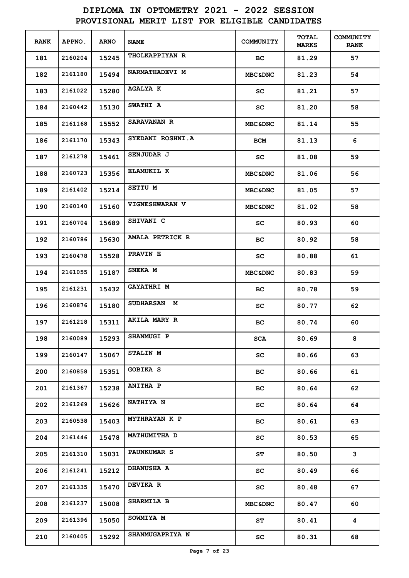| <b>RANK</b> | <b>APPNO.</b> | <b>ARNO</b> | <b>NAME</b>            | COMMUNITY                  | <b>TOTAL</b><br><b>MARKS</b> | <b>COMMUNITY</b><br><b>RANK</b> |
|-------------|---------------|-------------|------------------------|----------------------------|------------------------------|---------------------------------|
| 181         | 2160204       | 15245       | <b>THOLKAPPIYAN R</b>  | ВC                         | 81.29                        | 57                              |
| 182         | 2161180       | 15494       | NARMATHADEVI M         | <b>MBC&amp;DNC</b>         | 81.23                        | 54                              |
| 183         | 2161022       | 15280       | <b>AGALYA K</b>        | SC                         | 81.21                        | 57                              |
| 184         | 2160442       | 15130       | <b>SWATHI A</b>        | SC                         | 81.20                        | 58                              |
| 185         | 2161168       | 15552       | <b>SARAVANAN R</b>     | <b>MBC&amp;DNC</b>         | 81.14                        | 55                              |
| 186         | 2161170       | 15343       | SYEDANI ROSHNI.A       | BCM                        | 81.13                        | 6                               |
| 187         | 2161278       | 15461       | SENJUDAR J             | SC                         | 81.08                        | 59                              |
| 188         | 2160723       | 15356       | ELAMUKIL K             | <b>MBC&amp;DNC</b>         | 81.06                        | 56                              |
| 189         | 2161402       | 15214       | SETTU M                | <b>MBC&amp;DNC</b>         | 81.05                        | 57                              |
| 190         | 2160140       | 15160       | VIGNESHWARAN V         | <b>MBC&amp;DNC</b>         | 81.02                        | 58                              |
| 191         | 2160704       | 15689       | SHIVANI C              | sc                         | 80.93                        | 60                              |
| 192         | 2160786       | 15630       | AMALA PETRICK R        | вс                         | 80.92                        | 58                              |
| 193         | 2160478       | 15528       | PRAVIN E               | sc                         | 80.88                        | 61                              |
| 194         | 2161055       | 15187       | SNEKA M                | <b>MBC&amp;DNC</b>         | 80.83                        | 59                              |
| 195         | 2161231       | 15432       | <b>GAYATHRI M</b>      | BС                         | 80.78                        | 59                              |
| 196         | 2160876       | 15180       | <b>SUDHARSAN M</b>     | SC                         | 80.77                        | 62                              |
| 197         | 2161218       | 15311       | AKILA MARY R           | BС                         | 80.74                        | 60                              |
| 198         | 2160089       | 15293       | SHANMUGI P             | SCA                        | 80.69                        | 8                               |
| 199         | 2160147       | 15067       | <b>STALIN M</b>        | SC                         | 80.66                        | 63                              |
| 200         | 2160858       | 15351       | <b>GOBIKA S</b>        | BC.                        | 80.66                        | 61                              |
| 201         | 2161367       | 15238       | <b>ANITHA P</b>        | ВC                         | 80.64                        | 62                              |
| 202         | 2161269       | 15626       | <b>NATHIYA N</b>       | SC                         | 80.64                        | 64                              |
| 203         | 2160538       | 15403       | <b>MYTHRAYAN K P</b>   | ВC                         | 80.61                        | 63                              |
| 204         | 2161446       | 15478       | <b>MATHUMITHA D</b>    | SC                         | 80.53                        | 65                              |
| 205         | 2161310       | 15031       | <b>PAUNKUMAR S</b>     | SΤ                         | 80.50                        | 3                               |
| 206         | 2161241       | 15212       | <b>DHANUSHA A</b>      | SC                         | 80.49                        | 66                              |
| 207         | 2161335       | 15470       | <b>DEVIKA R</b>        | $\mathop{\rm sc}\nolimits$ | 80.48                        | 67                              |
| 208         | 2161237       | 15008       | SHARMILA B             | <b>MBC&amp;DNC</b>         | 80.47                        | 60                              |
| 209         | 2161396       | 15050       | SOWMIYA M              | ST                         | 80.41                        | 4                               |
| 210         | 2160405       | 15292       | <b>SHANMUGAPRIYA N</b> | SC                         | 80.31                        | 68                              |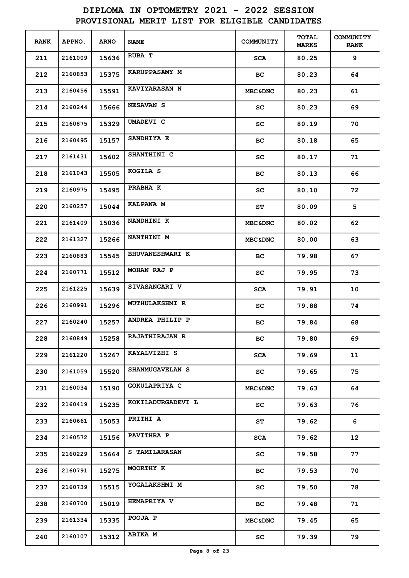| <b>RANK</b> | <b>APPNO.</b> | <b>ARNO</b> | <b>NAME</b>            | COMMUNITY                  | TOTAL<br><b>MARKS</b> | <b>COMMUNITY</b><br><b>RANK</b> |
|-------------|---------------|-------------|------------------------|----------------------------|-----------------------|---------------------------------|
| 211         | 2161009       | 15636       | RUBA T                 | <b>SCA</b>                 | 80.25                 | 9                               |
| 212         | 2160853       | 15375       | <b>KARUPPASAMY M</b>   | BC.                        | 80.23                 | 64                              |
| 213         | 2160456       | 15591       | <b>KAVIYARASAN N</b>   | <b>MBC&amp;DNC</b>         | 80.23                 | 61                              |
| 214         | 2160244       | 15666       | <b>NESAVAN S</b>       | SC                         | 80.23                 | 69                              |
| 215         | 2160875       | 15329       | UMADEVI C              | SC                         | 80.19                 | 70                              |
| 216         | 2160495       | 15157       | SANDHIYA E             | BС                         | 80.18                 | 65                              |
| 217         | 2161431       | 15602       | SHANTHINI C            | SC                         | 80.17                 | 71                              |
| 218         | 2161043       | 15505       | KOGILA S               | BC                         | 80.13                 | 66                              |
| 219         | 2160975       | 15495       | PRABHA K               | SC                         | 80.10                 | 72                              |
| 220         | 2160257       | 15044       | KALPANA M              | SΤ                         | 80.09                 | 5                               |
| 221         | 2161409       | 15036       | NANDHINI K             | <b>MBC&amp;DNC</b>         | 80.02                 | 62                              |
| 222         | 2161327       | 15266       | <b>NANTHINI M</b>      | <b>MBC&amp;DNC</b>         | 80.00                 | 63                              |
| 223         | 2160883       | 15545       | <b>BHUVANESHWARI K</b> | BС                         | 79.98                 | 67                              |
| 224         | 2160771       | 15512       | MOHAN RAJ P            | SC                         | 79.95                 | 73                              |
| 225         | 2161225       | 15639       | SIVASANGARI V          | <b>SCA</b>                 | 79.91                 | 10                              |
| 226         | 2160991       | 15296       | MUTHULAKSHMI R         | SC                         | 79.88                 | 74                              |
| 227         | 2160240       | 15257       | ANDREA PHILIP P        | BC.                        | 79.84                 | 68                              |
| 228         | 2160849       | 15258       | <b>RAJATHIRAJAN R</b>  | BC.                        | 79.80                 | 69                              |
| 229         | 2161220       | 15267       | KAYALVIZHI S           | SCA                        | 79.69                 | 11                              |
| 230         | 2161059       | 15520       | SHANMUGAVELAN S        | SC                         | 79.65                 | 75                              |
| 231         | 2160034       | 15190       | GOKULAPRIYA C          | <b>MBC&amp;DNC</b>         | 79.63                 | 64                              |
| 232         | 2160419       | 15235       | KOKILADURGADEVI L      | SC.                        | 79.63                 | 76                              |
| 233         | 2160661       | 15053       | PRITHI A               | ST                         | 79.62                 | 6                               |
| 234         | 2160572       | 15156       | <b>PAVITHRA P</b>      | SCA                        | 79.62                 | 12 <sup>2</sup>                 |
| 235         | 2160229       | 15664       | <b>S TAMILARASAN</b>   | SC.                        | 79.58                 | 77                              |
| 236         | 2160791       | 15275       | MOORTHY K              | BC.                        | 79.53                 | 70                              |
| 237         | 2160739       | 15515       | YOGALAKSHMI M          | SC                         | 79.50                 | 78                              |
| 238         | 2160700       | 15019       | <b>HEMAPRIYA V</b>     | BC                         | 79.48                 | 71                              |
| 239         | 2161334       | 15335       | POOJA P                | <b>MBC&amp;DNC</b>         | 79.45                 | 65                              |
| 240         | 2160107       | 15312       | <b>ABIKA M</b>         | $\mathop{\rm sc}\nolimits$ | 79.39                 | 79                              |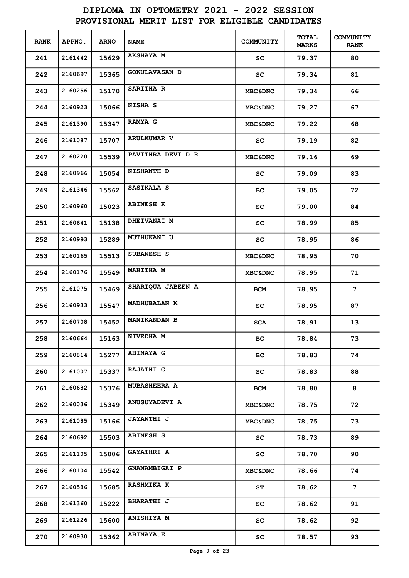| <b>RANK</b> | APPNO.  | <b>ARNO</b> | <b>NAME</b>          | COMMUNITY                  | <b>TOTAL</b><br><b>MARKS</b> | <b>COMMUNITY</b><br><b>RANK</b> |
|-------------|---------|-------------|----------------------|----------------------------|------------------------------|---------------------------------|
| 241         | 2161442 | 15629       | <b>AKSHAYA M</b>     | sc                         | 79.37                        | 80                              |
| 242         | 2160697 | 15365       | <b>GOKULAVASAN D</b> | SC                         | 79.34                        | 81                              |
| 243         | 2160256 | 15170       | SARITHA R            | <b>MBC&amp;DNC</b>         | 79.34                        | 66                              |
| 244         | 2160923 | 15066       | NISHA S              | <b>MBC&amp;DNC</b>         | 79.27                        | 67                              |
| 245         | 2161390 | 15347       | <b>RAMYA G</b>       | <b>MBC&amp;DNC</b>         | 79.22                        | 68                              |
| 246         | 2161087 | 15707       | <b>ARULKUMAR V</b>   | sc                         | 79.19                        | 82                              |
| 247         | 2160220 | 15539       | PAVITHRA DEVI D R    | <b>MBC&amp;DNC</b>         | 79.16                        | 69                              |
| 248         | 2160966 | 15054       | <b>NISHANTH D</b>    | sc                         | 79.09                        | 83                              |
| 249         | 2161346 | 15562       | SASIKALA S           | BС                         | 79.05                        | 72                              |
| 250         | 2160960 | 15023       | <b>ABINESH K</b>     | sc                         | 79.00                        | 84                              |
| 251         | 2160641 | 15138       | DHEIVANAI M          | sc                         | 78.99                        | 85                              |
| 252         | 2160993 | 15289       | <b>MUTHUKANI U</b>   | sc                         | 78.95                        | 86                              |
| 253         | 2160165 | 15513       | SUBANESH S           | <b>MBC&amp;DNC</b>         | 78.95                        | 70                              |
| 254         | 2160176 | 15549       | <b>MAHITHA M</b>     | <b>MBC&amp;DNC</b>         | 78.95                        | 71                              |
| 255         | 2161075 | 15469       | SHARIQUA JABEEN A    | <b>BCM</b>                 | 78.95                        | 7                               |
| 256         | 2160933 | 15547       | <b>MADHUBALAN K</b>  | sc                         | 78.95                        | 87                              |
| 257         | 2160708 | 15452       | <b>MANIKANDAN B</b>  | <b>SCA</b>                 | 78.91                        | 13                              |
| 258         | 2160664 | 15163       | NIVEDHA M            | ВC                         | 78.84                        | 73                              |
| 259         | 2160814 | 15277       | <b>ABINAYA G</b>     | BC                         | 78.83                        | 74                              |
| 260         | 2161007 | 15337       | <b>RAJATHI G</b>     | SC                         | 78.83                        | 88                              |
| 261         | 2160682 | 15376       | <b>MUBASHEERA A</b>  | <b>BCM</b>                 | 78.80                        | 8                               |
| 262         | 2160036 | 15349       | <b>ANUSUYADEVI A</b> | <b>MBC&amp;DNC</b>         | 78.75                        | 72                              |
| 263         | 2161085 | 15166       | <b>JAYANTHI J</b>    | <b>MBC&amp;DNC</b>         | 78.75                        | 73                              |
| 264         | 2160692 | 15503       | <b>ABINESH S</b>     | SC                         | 78.73                        | 89                              |
| 265         | 2161105 | 15006       | <b>GAYATHRI A</b>    | $\mathop{\rm sc}\nolimits$ | 78.70                        | 90                              |
| 266         | 2160104 | 15542       | GNANAMBIGAI P        | <b>MBC&amp;DNC</b>         | 78.66                        | 74                              |
| 267         | 2160586 | 15685       | <b>RASHMIKA K</b>    | ST                         | 78.62                        | 7 <sup>1</sup>                  |
| 268         | 2161360 | 15222       | <b>BHARATHI J</b>    | SC                         | 78.62                        | 91                              |
| 269         | 2161226 | 15600       | <b>ANISHIYA M</b>    | SC                         | 78.62                        | 92                              |
| 270         | 2160930 | 15362       | <b>ABINAYA.E</b>     | $\mathop{\rm sc}\nolimits$ | 78.57                        | 93                              |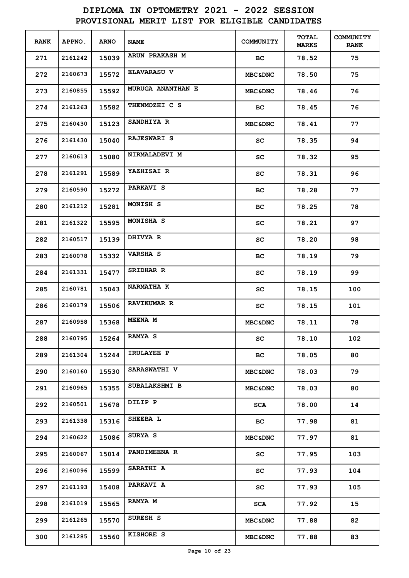| <b>RANK</b> | APPNO.  | <b>ARNO</b> | <b>NAME</b>         | COMMUNITY          | <b>TOTAL</b><br><b>MARKS</b> | <b>COMMUNITY</b><br><b>RANK</b> |
|-------------|---------|-------------|---------------------|--------------------|------------------------------|---------------------------------|
| 271         | 2161242 | 15039       | ARUN PRAKASH M      | BC.                | 78.52                        | 75                              |
| 272         | 2160673 | 15572       | <b>ELAVARASU V</b>  | <b>MBC&amp;DNC</b> | 78.50                        | 75                              |
| 273         | 2160855 | 15592       | MURUGA ANANTHAN E   | <b>MBC&amp;DNC</b> | 78.46                        | 76                              |
| 274         | 2161263 | 15582       | THENMOZHI C S       | BC.                | 78.45                        | 76                              |
| 275         | 2160430 | 15123       | SANDHIYA R          | <b>MBC&amp;DNC</b> | 78.41                        | 77                              |
| 276         | 2161430 | 15040       | <b>RAJESWARI S</b>  | SC                 | 78.35                        | 94                              |
| 277         | 2160613 | 15080       | NIRMALADEVI M       | sc                 | 78.32                        | 95                              |
| 278         | 2161291 | 15589       | YAZHISAI R          | sc                 | 78.31                        | 96                              |
| 279         | 2160590 | 15272       | PARKAVI S           | вc                 | 78.28                        | 77                              |
| 280         | 2161212 | 15281       | MONISH S            | вc                 | 78.25                        | 78                              |
| 281         | 2161322 | 15595       | MONISHA S           | sc                 | 78.21                        | 97                              |
| 282         | 2160517 | 15139       | DHIVYA R            | sc                 | 78.20                        | 98                              |
| 283         | 2160078 | 15332       | <b>VARSHA S</b>     | вc                 | 78.19                        | 79                              |
| 284         | 2161331 | 15477       | SRIDHAR R           | sc                 | 78.19                        | 99                              |
| 285         | 2160781 | 15043       | <b>NARMATHA K</b>   | sc                 | 78.15                        | 100                             |
| 286         | 2160179 | 15506       | <b>RAVIKUMAR R</b>  | sc                 | 78.15                        | 101                             |
| 287         | 2160958 | 15368       | <b>MEENA M</b>      | <b>MBC&amp;DNC</b> | 78.11                        | 78                              |
| 288         | 2160795 | 15264       | <b>RAMYA S</b>      | SC                 | 78.10                        | 102                             |
| 289         | 2161304 | 15244       | IRULAYEE P          | BC                 | 78.05                        | 80                              |
| 290         | 2160160 | 15530       | <b>SARASWATHI V</b> | <b>MBC&amp;DNC</b> | 78.03                        | 79                              |
| 291         | 2160965 | 15355       | SUBALAKSHMI B       | <b>MBC&amp;DNC</b> | 78.03                        | 80                              |
| 292         | 2160501 | 15678       | DILIP P             | <b>SCA</b>         | 78.00                        | 14                              |
| 293         | 2161338 | 15316       | SHEEBA L            | BC.                | 77.98                        | 81                              |
| 294         | 2160622 | 15086       | SURYA S             | <b>MBC&amp;DNC</b> | 77.97                        | 81                              |
| 295         | 2160067 | 15014       | <b>PANDIMEENA R</b> | SC                 | 77.95                        | 103                             |
| 296         | 2160096 | 15599       | SARATHI A           | SC                 | 77.93                        | 104                             |
| 297         | 2161193 | 15408       | PARKAVI A           | SC                 | 77.93                        | 105                             |
| 298         | 2161019 | 15565       | RAMYA M             | <b>SCA</b>         | 77.92                        | 15                              |
| 299         | 2161265 | 15570       | SURESH S            | <b>MBC&amp;DNC</b> | 77.88                        | 82                              |
| 300         | 2161285 | 15560       | KISHORE S           | <b>MBC&amp;DNC</b> | 77.88                        | 83                              |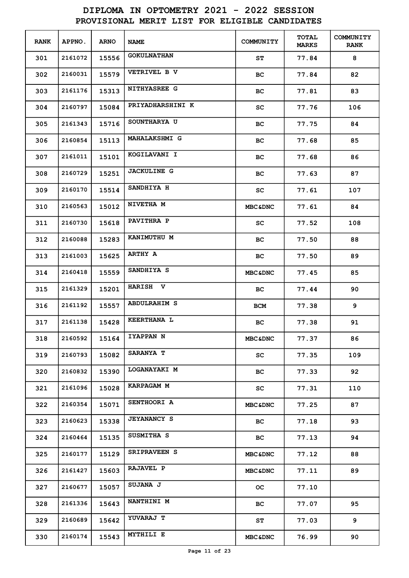| <b>RANK</b> | APPNO.  | <b>ARNO</b> | <b>NAME</b>          | <b>COMMUNITY</b>   | TOTAL<br><b>MARKS</b> | <b>COMMUNITY</b><br><b>RANK</b> |
|-------------|---------|-------------|----------------------|--------------------|-----------------------|---------------------------------|
| 301         | 2161072 | 15556       | <b>GOKULNATHAN</b>   | SΤ                 | 77.84                 | 8                               |
| 302         | 2160031 | 15579       | VETRIVEL B V         | BС                 | 77.84                 | 82                              |
| 303         | 2161176 | 15313       | <b>NITHYASREE G</b>  | BС                 | 77.81                 | 83                              |
| 304         | 2160797 | 15084       | PRIYADHARSHINI K     | SC                 | 77.76                 | 106                             |
| 305         | 2161343 | 15716       | SOUNTHARYA U         | вc                 | 77.75                 | 84                              |
| 306         | 2160854 | 15113       | <b>MAHALAKSHMI G</b> | вc                 | 77.68                 | 85                              |
| 307         | 2161011 | 15101       | KOGILAVANI I         | вc                 | 77.68                 | 86                              |
| 308         | 2160729 | 15251       | <b>JACKULINE G</b>   | BС                 | 77.63                 | 87                              |
| 309         | 2160170 | 15514       | SANDHIYA H           | SC                 | 77.61                 | 107                             |
| 310         | 2160563 | 15012       | NIVETHA M            | <b>MBC&amp;DNC</b> | 77.61                 | 84                              |
| 311         | 2160730 | 15618       | PAVITHRA P           | SC.                | 77.52                 | 108                             |
| 312         | 2160088 | 15283       | KANIMUTHU M          | вc                 | 77.50                 | 88                              |
| 313         | 2161003 | 15625       | ARTHY A              | BC.                | 77.50                 | 89                              |
| 314         | 2160418 | 15559       | SANDHIYA S           | <b>MBC&amp;DNC</b> | 77.45                 | 85                              |
| 315         | 2161329 | 15201       | HARISH V             | BC.                | 77.44                 | 90                              |
| 316         | 2161192 | 15557       | <b>ABDULRAHIM S</b>  | <b>BCM</b>         | 77.38                 | 9                               |
| 317         | 2161138 | 15428       | <b>KEERTHANA L</b>   | BС                 | 77.38                 | 91                              |
| 318         | 2160592 | 15164       | <b>IYAPPAN N</b>     | <b>MBC&amp;DNC</b> | 77.37                 | 86                              |
| 319         | 2160793 | 15082       | SARANYA T            | SC.                | 77.35                 | 109                             |
| 320         | 2160832 | 15390       | LOGANAYAKI M         | BC.                | 77.33                 | 92                              |
| 321         | 2161096 | 15028       | <b>KARPAGAM M</b>    | SC.                | 77.31                 | 110                             |
| 322         | 2160354 | 15071       | SENTHOORI A          | <b>MBC&amp;DNC</b> | 77.25                 | 87                              |
| 323         | 2160623 | 15338       | <b>JEYANANCY S</b>   | BC.                | 77.18                 | 93                              |
| 324         | 2160464 | 15135       | SUSMITHA S           | BC.                | 77.13                 | 94                              |
| 325         | 2160177 | 15129       | <b>SRIPRAVEEN S</b>  | <b>MBC&amp;DNC</b> | 77.12                 | 88                              |
| 326         | 2161427 | 15603       | <b>RAJAVEL P</b>     | <b>MBC&amp;DNC</b> | 77.11                 | 89                              |
| 327         | 2160677 | 15057       | SUJANA J             | OС                 | 77.10                 |                                 |
| 328         | 2161336 | 15643       | <b>NANTHINI M</b>    | BC.                | 77.07                 | 95                              |
| 329         | 2160689 | 15642       | <b>YUVARAJ T</b>     | ${\tt ST}$         | 77.03                 | 9                               |
| 330         | 2160174 | 15543       | <b>MYTHILI E</b>     | <b>MBC&amp;DNC</b> | 76.99                 | 90                              |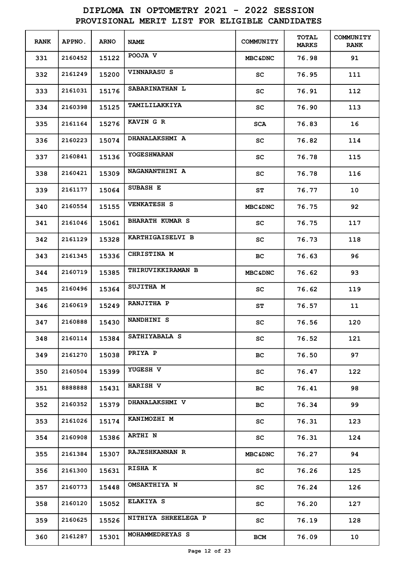| <b>RANK</b> | APPNO.  | <b>ARNO</b> | <b>NAME</b>              | COMMUNITY           | <b>TOTAL</b><br><b>MARKS</b> | <b>COMMUNITY</b><br><b>RANK</b> |
|-------------|---------|-------------|--------------------------|---------------------|------------------------------|---------------------------------|
| 331         | 2160452 | 15122       | POOJA V                  | <b>MBC&amp;DNC</b>  | 76.98                        | 91                              |
| 332         | 2161249 | 15200       | <b>VINNARASU S</b>       | SC                  | 76.95                        | 111                             |
| 333         | 2161031 | 15176       | SABARINATHAN L           | SC                  | 76.91                        | 112                             |
| 334         | 2160398 | 15125       | TAMILILAKKIYA            | SC                  | 76.90                        | 113                             |
| 335         | 2161164 | 15276       | KAVIN G R                | <b>SCA</b>          | 76.83                        | 16                              |
| 336         | 2160223 | 15074       | <b>DHANALAKSHMI A</b>    | SC                  | 76.82                        | 114                             |
| 337         | 2160841 | 15136       | <b>YOGESHWARAN</b>       | SC                  | 76.78                        | 115                             |
| 338         | 2160421 | 15309       | NAGANANTHINI A           | SC                  | 76.78                        | 116                             |
| 339         | 2161177 | 15064       | SUBASH E                 | SΤ                  | 76.77                        | 10                              |
| 340         | 2160554 | 15155       | <b>VENKATESH S</b>       | <b>MBC&amp;DNC</b>  | 76.75                        | 92                              |
| 341         | 2161046 | 15061       | <b>BHARATH KUMAR S</b>   | SC                  | 76.75                        | 117                             |
| 342         | 2161129 | 15328       | KARTHIGAISELVI B         | SC                  | 76.73                        | 118                             |
| 343         | 2161345 | 15336       | CHRISTINA M              | BС                  | 76.63                        | 96                              |
| 344         | 2160719 | 15385       | <b>THIRUVIKKIRAMAN B</b> | <b>MBC&amp;DNC</b>  | 76.62                        | 93                              |
| 345         | 2160496 | 15364       | <b>SUJITHA M</b>         | SC                  | 76.62                        | 119                             |
| 346         | 2160619 | 15249       | RANJITHA P               | SΤ                  | 76.57                        | 11                              |
| 347         | 2160888 | 15430       | NANDHINI S               | SC                  | 76.56                        | 120                             |
| 348         | 2160114 | 15384       | SATHIYABALA S            | sc                  | 76.52                        | 121                             |
| 349         | 2161270 | 15038       | PRIYA P                  | BC.                 | 76.50                        | 97                              |
| 350         | 2160504 | 15399       | YUGESH V                 | SC.                 | 76.47                        | 122                             |
| 351         | 888888  | 15431       | <b>HARISH V</b>          | BC.                 | 76.41                        | 98                              |
| 352         | 2160352 | 15379       | <b>DHANALAKSHMI V</b>    | BC.                 | 76.34                        | 99                              |
| 353         | 2161026 | 15174       | KANIMOZHI M              | SC.                 | 76.31                        | 123                             |
| 354         | 2160908 | 15386       | <b>ARTHI N</b>           | SC                  | 76.31                        | 124                             |
| 355         | 2161384 | 15307       | <b>RAJESHKANNAN R</b>    | <b>MBC&amp;DNC</b>  | 76.27                        | 94                              |
| 356         | 2161300 | 15631       | <b>RISHA K</b>           | SC.                 | 76.26                        | 125                             |
| 357         | 2160773 | 15448       | <b>OMSAKTHIYA N</b>      | SC                  | 76.24                        | 126                             |
| 358         | 2160120 | 15052       | ELAKIYA S                | $\operatorname{sc}$ | 76.20                        | 127                             |
| 359         | 2160625 | 15526       | NITHIYA SHREELEGA P      | $\operatorname{sc}$ | 76.19                        | 128                             |
| 360         | 2161287 | 15301       | MOHAMMEDREYAS S          | BCM                 | 76.09                        | 10                              |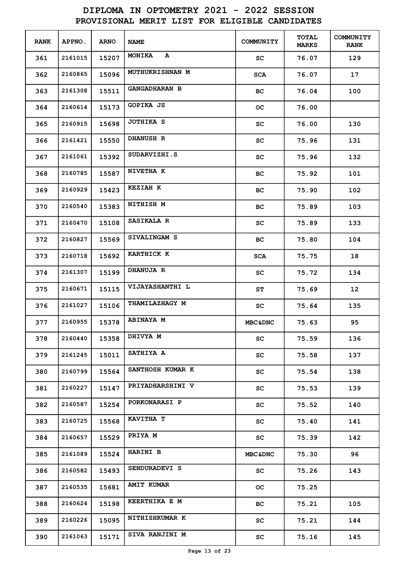| <b>RANK</b> | <b>APPNO.</b> | <b>ARNO</b> | <b>NAME</b>             | <b>COMMUNITY</b>    | <b>TOTAL</b><br><b>MARKS</b> | <b>COMMUNITY</b><br><b>RANK</b> |
|-------------|---------------|-------------|-------------------------|---------------------|------------------------------|---------------------------------|
| 361         | 2161015       | 15207       | <b>MONIKA</b><br>A      | SC                  | 76.07                        | 129                             |
| 362         | 2160865       | 15096       | <b>MUTHUKRISHNAN M</b>  | <b>SCA</b>          | 76.07                        | 17                              |
| 363         | 2161308       | 15511       | <b>GANGADHARAN B</b>    | BС                  | 76.04                        | 100                             |
| 364         | 2160614       | 15173       | GOPIKA JS               | oс                  | 76.00                        |                                 |
| 365         | 2160915       | 15698       | JOTHIKA S               | SC                  | 76.00                        | 130                             |
| 366         | 2161421       | 15550       | <b>DHANUSH R</b>        | SC                  | 75.96                        | 131                             |
| 367         | 2161061       | 15392       | SUDARVIZHI.S            | SC                  | 75.96                        | 132                             |
| 368         | 2160785       | 15587       | NIVETHA K               | вс                  | 75.92                        | 101                             |
| 369         | 2160929       | 15423       | <b>KEZIAH K</b>         | BС                  | 75.90                        | 102                             |
| 370         | 2160540       | 15383       | NITHISH M               | вc                  | 75.89                        | 103                             |
| 371         | 2160470       | 15108       | SASIKALA R              | SC                  | 75.89                        | 133                             |
| 372         | 2160827       | 15569       | SIVALINGAM S            | BС                  | 75.80                        | 104                             |
| 373         | 2160718       | 15692       | <b>KARTHICK K</b>       | <b>SCA</b>          | 75.75                        | 18                              |
| 374         | 2161307       | 15199       | <b>DHANUJA R</b>        | SC                  | 75.72                        | 134                             |
| 375         | 2160671       | 15115       | VIJAYASHANTHI L         | SΤ                  | 75.69                        | 12 <sub>2</sub>                 |
| 376         | 2161027       | 15106       | <b>THAMILAZHAGY M</b>   | SC                  | 75.64                        | 135                             |
| 377         | 2160955       | 15378       | <b>ABINAYA M</b>        | <b>MBC&amp;DNC</b>  | 75.63                        | 95                              |
| 378         | 2160440       | 15358       | DHIVYA M                | sc                  | 75.59                        | 136                             |
| 379         | 2161245       | 15011       | SATHIYA A               | SC                  | 75.58                        | 137                             |
| 380         | 2160799       | 15564       | SANTHOSH KUMAR K        | SC.                 | 75.54                        | 138                             |
| 381         | 2160227       | 15147       | <b>PRIYADHARSHINI V</b> | SC.                 | 75.53                        | 139                             |
| 382         | 2160587       | 15254       | <b>PORKONARASI P</b>    | $\operatorname{sc}$ | 75.52                        | 140                             |
| 383         | 2160725       | 15568       | KAVITHA T               | SC                  | 75.40                        | 141                             |
| 384         | 2160657       | 15529       | PRIYA M                 | SC                  | 75.39                        | 142                             |
| 385         | 2161089       | 15524       | <b>HARINI B</b>         | <b>MBC&amp;DNC</b>  | 75.30                        | 96                              |
| 386         | 2160582       | 15493       | SENDURADEVI S           | SC                  | 75.26                        | 143                             |
| 387         | 2160535       | 15681       | <b>AMIT KUMAR</b>       | OС                  | 75.25                        |                                 |
| 388         | 2160624       | 15198       | KEERTHIKA E M           | ВC                  | 75.21                        | 105                             |
| 389         | 2160226       | 15095       | <b>NITHISHKUMAR K</b>   | SC                  | 75.21                        | 144                             |
| 390         | 2161063       | 15171       | SIVA RANJINI M          | SC                  | 75.16                        | 145                             |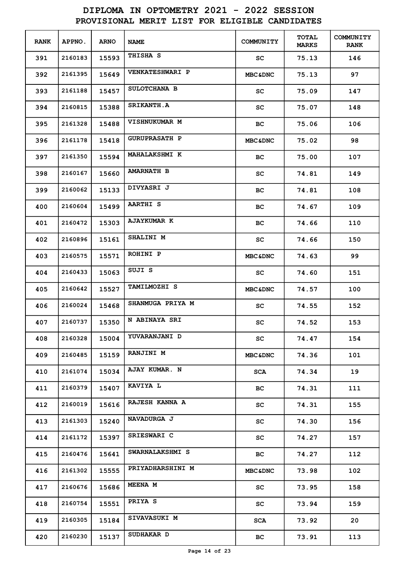| <b>RANK</b> | APPNO.  | <b>ARNO</b> | <b>NAME</b>            | <b>COMMUNITY</b>   | <b>TOTAL</b><br><b>MARKS</b> | <b>COMMUNITY</b><br><b>RANK</b> |
|-------------|---------|-------------|------------------------|--------------------|------------------------------|---------------------------------|
| 391         | 2160183 | 15593       | THISHA S               | SC                 | 75.13                        | 146                             |
| 392         | 2161395 | 15649       | <b>VENKATESHWARI P</b> | <b>MBC&amp;DNC</b> | 75.13                        | 97                              |
| 393         | 2161188 | 15457       | SULOTCHANA B           | SC                 | 75.09                        | 147                             |
| 394         | 2160815 | 15388       | <b>SRIKANTH.A</b>      | SC                 | 75.07                        | 148                             |
| 395         | 2161328 | 15488       | VISHNUKUMAR M          | BC.                | 75.06                        | 106                             |
| 396         | 2161178 | 15418       | <b>GURUPRASATH P</b>   | <b>MBC&amp;DNC</b> | 75.02                        | 98                              |
| 397         | 2161350 | 15594       | <b>MAHALAKSHMI K</b>   | BС                 | 75.00                        | 107                             |
| 398         | 2160167 | 15660       | <b>AMARNATH B</b>      | SC                 | 74.81                        | 149                             |
| 399         | 2160062 | 15133       | DIVYASRI J             | BС                 | 74.81                        | 108                             |
| 400         | 2160604 | 15499       | <b>AARTHI S</b>        | BС                 | 74.67                        | 109                             |
| 401         | 2160472 | 15303       | <b>AJAYKUMAR K</b>     | вc                 | 74.66                        | 110                             |
| 402         | 2160896 | 15161       | SHALINI M              | SC                 | 74.66                        | 150                             |
| 403         | 2160575 | 15571       | ROHINI P               | <b>MBC&amp;DNC</b> | 74.63                        | 99                              |
| 404         | 2160433 | 15063       | SUJI S                 | SC                 | 74.60                        | 151                             |
| 405         | 2160642 | 15527       | <b>TAMILMOZHI S</b>    | <b>MBC&amp;DNC</b> | 74.57                        | 100                             |
| 406         | 2160024 | 15468       | SHANMUGA PRIYA M       | SC.                | 74.55                        | 152                             |
| 407         | 2160737 | 15350       | N ABINAYA SRI          | SC                 | 74.52                        | 153                             |
| 408         | 2160328 | 15004       | <b>YUVARANJANI D</b>   | SC                 | 74.47                        | 154                             |
| 409         | 2160485 | 15159       | <b>RANJINI M</b>       | <b>MBC&amp;DNC</b> | 74.36                        | 101                             |
| 410         | 2161074 | 15034       | AJAY KUMAR. N          | SCA                | 74.34                        | 19                              |
| 411         | 2160379 | 15407       | KAVIYA L               | BC.                | 74.31                        | 111                             |
| 412         | 2160019 | 15616       | RAJESH KANNA A         | SC                 | 74.31                        | 155                             |
| 413         | 2161303 | 15240       | NAVADURGA J            | SC                 | 74.30                        | 156                             |
| 414         | 2161172 | 15397       | SRIESWARI C            | SC.                | 74.27                        | 157                             |
| 415         | 2160476 | 15641       | SWARNALAKSHMI S        | BC.                | 74.27                        | 112                             |
| 416         | 2161302 | 15555       | PRIYADHARSHINI M       | <b>MBC&amp;DNC</b> | 73.98                        | 102                             |
| 417         | 2160676 | 15686       | <b>MEENA M</b>         | SC                 | 73.95                        | 158                             |
| 418         | 2160754 | 15551       | PRIYA S                | SC                 | 73.94                        | 159                             |
| 419         | 2160305 | 15184       | <b>SIVAVASUKI M</b>    | SCA                | 73.92                        | 20                              |
| 420         | 2160230 | 15137       | SUDHAKAR D             | ВC                 | 73.91                        | 113                             |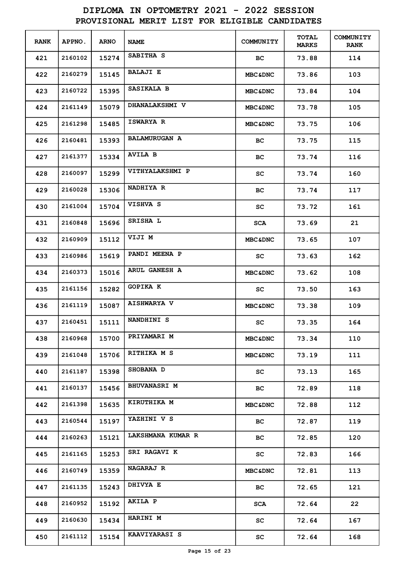| <b>RANK</b> | <b>APPNO.</b> | <b>ARNO</b> | <b>NAME</b>            | <b>COMMUNITY</b>    | <b>TOTAL</b><br><b>MARKS</b> | <b>COMMUNITY</b><br><b>RANK</b> |
|-------------|---------------|-------------|------------------------|---------------------|------------------------------|---------------------------------|
| 421         | 2160102       | 15274       | SABITHA S              | ВC                  | 73.88                        | 114                             |
| 422         | 2160279       | 15145       | <b>BALAJI E</b>        | <b>MBC&amp;DNC</b>  | 73.86                        | 103                             |
| 423         | 2160722       | 15395       | SASIKALA B             | <b>MBC&amp;DNC</b>  | 73.84                        | 104                             |
| 424         | 2161149       | 15079       | <b>DHANALAKSHMI V</b>  | <b>MBC&amp;DNC</b>  | 73.78                        | 105                             |
| 425         | 2161298       | 15485       | ISWARYA R              | <b>MBC&amp;DNC</b>  | 73.75                        | 106                             |
| 426         | 2160481       | 15393       | <b>BALAMURUGAN A</b>   | вc                  | 73.75                        | 115                             |
| 427         | 2161377       | 15334       | <b>AVILA B</b>         | вc                  | 73.74                        | 116                             |
| 428         | 2160097       | 15299       | <b>VITHYALAKSHMI P</b> | sc                  | 73.74                        | 160                             |
| 429         | 2160028       | 15306       | <b>NADHIYA R</b>       | вc                  | 73.74                        | 117                             |
| 430         | 2161004       | 15704       | VISHVA S               | sc                  | 73.72                        | 161                             |
| 431         | 2160848       | 15696       | SRISHA L               | SCA                 | 73.69                        | 21                              |
| 432         | 2160909       | 15112       | VIJI M                 | <b>MBC&amp;DNC</b>  | 73.65                        | 107                             |
| 433         | 2160986       | 15619       | PANDI MEENA P          | SC.                 | 73.63                        | 162                             |
| 434         | 2160373       | 15016       | ARUL GANESH A          | <b>MBC&amp;DNC</b>  | 73.62                        | 108                             |
| 435         | 2161156       | 15282       | GOPIKA K               | SC                  | 73.50                        | 163                             |
| 436         | 2161119       | 15087       | <b>AISHWARYA V</b>     | <b>MBC&amp;DNC</b>  | 73.38                        | 109                             |
| 437         | 2160451       | 15111       | NANDHINI S             | sc                  | 73.35                        | 164                             |
| 438         | 2160968       | 15700       | PRIYAMARI M            | <b>MBC&amp;DNC</b>  | 73.34                        | 110                             |
| 439         | 2161048       | 15706       | RITHIKA M S            | <b>MBC&amp;DNC</b>  | 73.19                        | 111                             |
| 440         | 2161187       | 15398       | <b>SHOBANA D</b>       | SC.                 | 73.13                        | 165                             |
| 441         | 2160137       | 15456       | <b>BHUVANASRI M</b>    | BC.                 | 72.89                        | 118                             |
| 442         | 2161398       | 15635       | KIRUTHIKA M            | <b>MBC&amp;DNC</b>  | 72.88                        | 112                             |
| 443         | 2160544       | 15197       | YAZHINI V S            | ВC                  | 72.87                        | 119                             |
| 444         | 2160263       | 15121       | LAKSHMANA KUMAR R      | ВC                  | 72.85                        | 120                             |
| 445         | 2161165       | 15253       | SRI RAGAVI K           | SC                  | 72.83                        | 166                             |
| 446         | 2160749       | 15359       | <b>NAGARAJ R</b>       | <b>MBC&amp;DNC</b>  | 72.81                        | 113                             |
| 447         | 2161135       | 15243       | <b>DHIVYA E</b>        | BC                  | 72.65                        | 121                             |
| 448         | 2160952       | 15192       | AKILA P                | SCA                 | 72.64                        | 22                              |
| 449         | 2160630       | 15434       | HARINI M               | SC                  | 72.64                        | 167                             |
| 450         | 2161112       | 15154       | <b>KAAVIYARASI S</b>   | $\operatorname{sc}$ | 72.64                        | 168                             |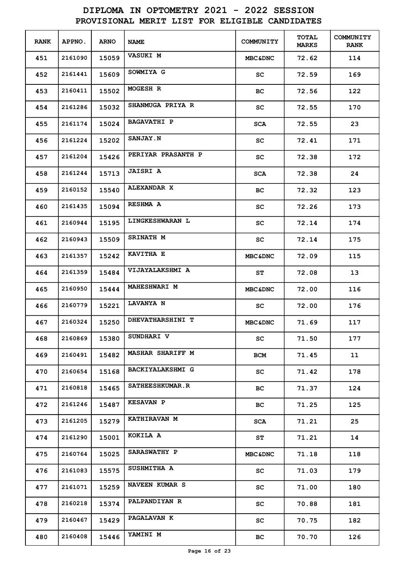| <b>RANK</b> | APPNO.  | <b>ARNO</b> | <b>NAME</b>             | COMMUNITY           | <b>TOTAL</b><br><b>MARKS</b> | <b>COMMUNITY</b><br><b>RANK</b> |
|-------------|---------|-------------|-------------------------|---------------------|------------------------------|---------------------------------|
| 451         | 2161090 | 15059       | <b>VASUKI M</b>         | <b>MBC&amp;DNC</b>  | 72.62                        | 114                             |
| 452         | 2161441 | 15609       | SOWMIYA G               | SC                  | 72.59                        | 169                             |
| 453         | 2160411 | 15502       | MOGESH R                | BC                  | 72.56                        | 122                             |
| 454         | 2161286 | 15032       | SHANMUGA PRIYA R        | SC                  | 72.55                        | 170                             |
| 455         | 2161174 | 15024       | <b>BAGAVATHI P</b>      | <b>SCA</b>          | 72.55                        | 23                              |
| 456         | 2161224 | 15202       | <b>SANJAY.N</b>         | SC                  | 72.41                        | 171                             |
| 457         | 2161204 | 15426       | PERIYAR PRASANTH P      | SC                  | 72.38                        | 172                             |
| 458         | 2161244 | 15713       | <b>JAISRI A</b>         | SCA                 | 72.38                        | 24                              |
| 459         | 2160152 | 15540       | <b>ALEXANDAR X</b>      | BC                  | 72.32                        | 123                             |
| 460         | 2161435 | 15094       | <b>RESHMA A</b>         | SC                  | 72.26                        | 173                             |
| 461         | 2160944 | 15195       | LINGKESHWARAN L         | SC                  | 72.14                        | 174                             |
| 462         | 2160943 | 15509       | <b>SRINATH M</b>        | SC                  | 72.14                        | 175                             |
| 463         | 2161357 | 15242       | KAVITHA E               | <b>MBC&amp;DNC</b>  | 72.09                        | 115                             |
| 464         | 2161359 | 15484       | VIJAYALAKSHMI A         | SΤ                  | 72.08                        | 13                              |
| 465         | 2160950 | 15444       | MAHESHWARI M            | <b>MBC&amp;DNC</b>  | 72.00                        | 116                             |
| 466         | 2160779 | 15221       | LAVANYA N               | SC.                 | 72.00                        | 176                             |
| 467         | 2160324 | 15250       | DHEVATHARSHINI T        | <b>MBC&amp;DNC</b>  | 71.69                        | 117                             |
| 468         | 2160869 | 15380       | <b>SUNDHARI V</b>       | SC.                 | 71.50                        | 177                             |
| 469         | 2160491 | 15482       | <b>MASHAR SHARIFF M</b> | BCM                 | 71.45                        | 11                              |
| 470         | 2160654 | 15168       | <b>BACKIYALAKSHMI G</b> | SC                  | 71.42                        | 178                             |
| 471         | 2160818 | 15465       | <b>SATHEESHKUMAR.R</b>  | BC.                 | 71.37                        | 124                             |
| 472         | 2161246 | 15487       | <b>KESAVAN P</b>        | BC.                 | 71.25                        | 125                             |
| 473         | 2161205 | 15279       | <b>KATHIRAVAN M</b>     | SCA                 | 71.21                        | 25                              |
| 474         | 2161290 | 15001       | KOKILA A                | ST                  | 71.21                        | 14                              |
| 475         | 2160764 | 15025       | <b>SARASWATHY P</b>     | <b>MBC&amp;DNC</b>  | 71.18                        | 118                             |
| 476         | 2161083 | 15575       | SUSHMITHA A             | SC                  | 71.03                        | 179                             |
| 477         | 2161071 | 15259       | NAVEEN KUMAR S          | SC                  | 71.00                        | 180                             |
| 478         | 2160218 | 15374       | <b>PALPANDIYAN R</b>    | $\operatorname{sc}$ | 70.88                        | 181                             |
| 479         | 2160467 | 15429       | <b>PAGALAVAN K</b>      | SC                  | 70.75                        | 182                             |
| 480         | 2160408 | 15446       | <b>YAMINI M</b>         | ВC                  | 70.70                        | 126                             |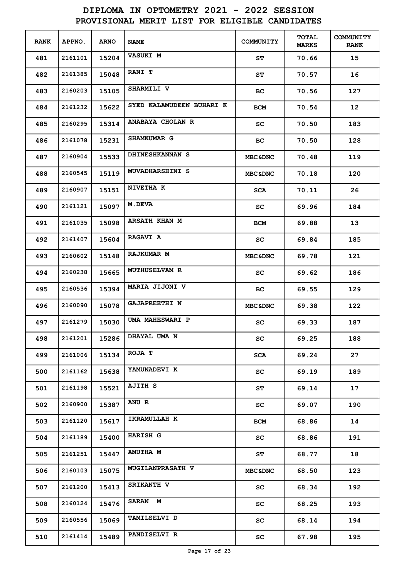| <b>RANK</b> | <b>APPNO.</b> | <b>ARNO</b> | <b>NAME</b>              | COMMUNITY           | <b>TOTAL</b><br><b>MARKS</b> | <b>COMMUNITY</b><br><b>RANK</b> |
|-------------|---------------|-------------|--------------------------|---------------------|------------------------------|---------------------------------|
| 481         | 2161101       | 15204       | VASUKI M                 | SΤ                  | 70.66                        | 15                              |
| 482         | 2161385       | 15048       | RANI T                   | SΤ                  | 70.57                        | 16                              |
| 483         | 2160203       | 15105       | <b>SHARMILI V</b>        | BС                  | 70.56                        | 127                             |
| 484         | 2161232       | 15622       | SYED KALAMUDEEN BUHARI K | BCM                 | 70.54                        | 12 <sub>2</sub>                 |
| 485         | 2160295       | 15314       | ANABAYA CHOLAN R         | SC                  | 70.50                        | 183                             |
| 486         | 2161078       | 15231       | SHAMKUMAR G              | BС                  | 70.50                        | 128                             |
| 487         | 2160904       | 15533       | DHINESHKANNAN S          | <b>MBC&amp;DNC</b>  | 70.48                        | 119                             |
| 488         | 2160545       | 15119       | MUVADHARSHINI S          | <b>MBC&amp;DNC</b>  | 70.18                        | 120                             |
| 489         | 2160907       | 15151       | NIVETHA K                | <b>SCA</b>          | 70.11                        | 26                              |
| 490         | 2161121       | 15097       | <b>M.DEVA</b>            | sc                  | 69.96                        | 184                             |
| 491         | 2161035       | 15098       | ARSATH KHAN M            | BCM                 | 69.88                        | 13                              |
| 492         | 2161407       | 15604       | <b>RAGAVI A</b>          | SC.                 | 69.84                        | 185                             |
| 493         | 2160602       | 15148       | <b>RAJKUMAR M</b>        | <b>MBC&amp;DNC</b>  | 69.78                        | 121                             |
| 494         | 2160238       | 15665       | <b>MUTHUSELVAM R</b>     | sc                  | 69.62                        | 186                             |
| 495         | 2160536       | 15394       | MARIA JIJONI V           | BС                  | 69.55                        | 129                             |
| 496         | 2160090       | 15078       | <b>GAJAPREETHI N</b>     | <b>MBC&amp;DNC</b>  | 69.38                        | 122                             |
| 497         | 2161279       | 15030       | UMA MAHESWARI P          | SC                  | 69.33                        | 187                             |
| 498         | 2161201       | 15286       | DHAYAL UMA N             | sc                  | 69.25                        | 188                             |
| 499         | 2161006       | 15134       | ROJA T                   | <b>SCA</b>          | 69.24                        | 27                              |
| 500         | 2161162       | 15638       | YAMUNADEVI K             | SC                  | 69.19                        | 189                             |
| 501         | 2161198       | 15521       | <b>AJITH S</b>           | ST                  | 69.14                        | 17                              |
| 502         | 2160900       | 15387       | ANU R                    | $\operatorname{sc}$ | 69.07                        | 190                             |
| 503         | 2161120       | 15617       | IKRAMULLAH K             | BCM                 | 68.86                        | 14                              |
| 504         | 2161189       | 15400       | HARISH G                 | SC                  | 68.86                        | 191                             |
| 505         | 2161251       | 15447       | <b>AMUTHA M</b>          | ST                  | 68.77                        | 18                              |
| 506         | 2160103       | 15075       | <b>MUGILANPRASATH V</b>  | <b>MBC&amp;DNC</b>  | 68.50                        | 123                             |
| 507         | 2161200       | 15413       | <b>SRIKANTH V</b>        | SC                  | 68.34                        | 192                             |
| 508         | 2160124       | 15476       | SARAN M                  | $\operatorname{sc}$ | 68.25                        | 193                             |
| 509         | 2160556       | 15069       | <b>TAMILSELVI D</b>      | SC                  | 68.14                        | 194                             |
| 510         | 2161414       | 15489       | PANDISELVI R             | $\operatorname{sc}$ | 67.98                        | 195                             |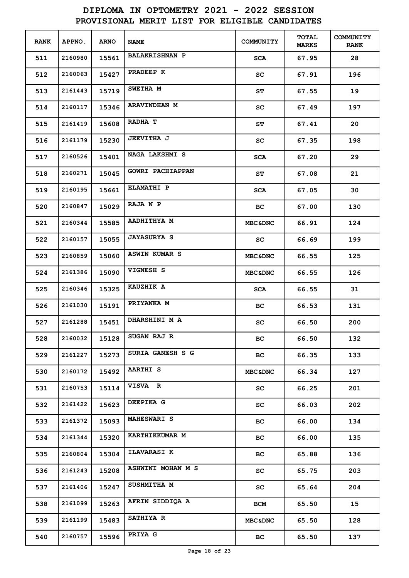| <b>RANK</b> | APPNO.  | <b>ARNO</b> | <b>NAME</b>             | COMMUNITY                  | <b>TOTAL</b><br><b>MARKS</b> | <b>COMMUNITY</b><br><b>RANK</b> |
|-------------|---------|-------------|-------------------------|----------------------------|------------------------------|---------------------------------|
| 511         | 2160980 | 15561       | <b>BALAKRISHNAN P</b>   | SCA                        | 67.95                        | 28                              |
| 512         | 2160063 | 15427       | PRADEEP K               | SC                         | 67.91                        | 196                             |
| 513         | 2161443 | 15719       | <b>SWETHA M</b>         | SΤ                         | 67.55                        | 19                              |
| 514         | 2160117 | 15346       | ARAVINDHAN M            | SC                         | 67.49                        | 197                             |
| 515         | 2161419 | 15608       | RADHA T                 | SΤ                         | 67.41                        | 20                              |
| 516         | 2161179 | 15230       | <b>JEEVITHA J</b>       | SC                         | 67.35                        | 198                             |
| 517         | 2160526 | 15401       | NAGA LAKSHMI S          | <b>SCA</b>                 | 67.20                        | 29                              |
| 518         | 2160271 | 15045       | <b>GOWRI PACHIAPPAN</b> | ST                         | 67.08                        | 21                              |
| 519         | 2160195 | 15661       | <b>ELAMATHI P</b>       | <b>SCA</b>                 | 67.05                        | 30                              |
| 520         | 2160847 | 15029       | RAJA N P                | BC.                        | 67.00                        | 130                             |
| 521         | 2160344 | 15585       | AADHITHYA M             | <b>MBC&amp;DNC</b>         | 66.91                        | 124                             |
| 522         | 2160157 | 15055       | <b>JAYASURYA S</b>      | SC.                        | 66.69                        | 199                             |
| 523         | 2160859 | 15060       | ASWIN KUMAR S           | <b>MBC&amp;DNC</b>         | 66.55                        | 125                             |
| 524         | 2161386 | 15090       | <b>VIGNESH S</b>        | <b>MBC&amp;DNC</b>         | 66.55                        | 126                             |
| 525         | 2160346 | 15325       | KAUZHIK A               | <b>SCA</b>                 | 66.55                        | 31                              |
| 526         | 2161030 | 15191       | PRIYANKA M              | BC.                        | 66.53                        | 131                             |
| 527         | 2161288 | 15451       | DHARSHINI M A           | SC                         | 66.50                        | 200                             |
| 528         | 2160032 | 15128       | SUGAN RAJ R             | вc                         | 66.50                        | 132                             |
| 529         | 2161227 | 15273       | SURIA GANESH S G        | вc                         | 66.35                        | 133                             |
| 530         | 2160172 | 15492       | <b>AARTHI S</b>         | <b>MBC&amp;DNC</b>         | 66.34                        | 127                             |
| 531         | 2160753 | 15114       | VISVA R                 | SC                         | 66.25                        | 201                             |
| 532         | 2161422 | 15623       | DEEPIKA G               | SC                         | 66.03                        | 202                             |
| 533         | 2161372 | 15093       | <b>MAHESWARI S</b>      | ВC                         | 66.00                        | 134                             |
| 534         | 2161344 | 15320       | <b>KARTHIKKUMAR M</b>   | ВC                         | 66.00                        | 135                             |
| 535         | 2160804 | 15304       | <b>ILAVARASI K</b>      | ВC                         | 65.88                        | 136                             |
| 536         | 2161243 | 15208       | ASHWINI MOHAN M S       | $\mathop{\rm sc}\nolimits$ | 65.75                        | 203                             |
| 537         | 2161406 | 15247       | SUSHMITHA M             | $\mathop{\rm sc}\nolimits$ | 65.64                        | 204                             |
| 538         | 2161099 | 15263       | AFRIN SIDDIQA A         | BCM                        | 65.50                        | 15                              |
| 539         | 2161199 | 15483       | <b>SATHIYA R</b>        | <b>MBC&amp;DNC</b>         | 65.50                        | 128                             |
| 540         | 2160757 | 15596       | PRIYA G                 | BC                         | 65.50                        | 137                             |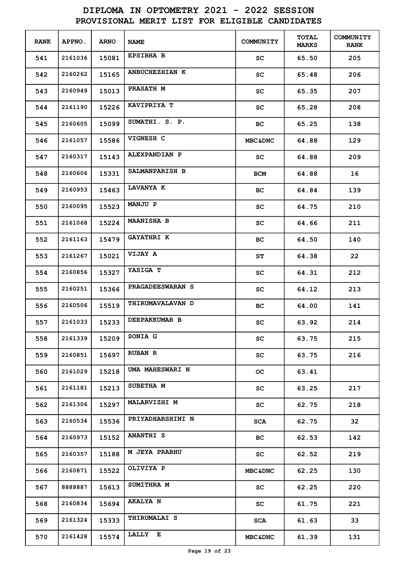| <b>RANK</b> | <b>APPNO.</b> | <b>ARNO</b> | <b>NAME</b>             | COMMUNITY          | <b>TOTAL</b><br><b>MARKS</b> | <b>COMMUNITY</b><br><b>RANK</b> |
|-------------|---------------|-------------|-------------------------|--------------------|------------------------------|---------------------------------|
| 541         | 2161036       | 15081       | <b>EPSIBHA B</b>        | SC                 | 65.50                        | 205                             |
| 542         | 2160262       | 15165       | ANBUCHEZHIAN K          | SC                 | 65.48                        | 206                             |
| 543         | 2160949       | 15013       | <b>PRASATH M</b>        | SC                 | 65.35                        | 207                             |
| 544         | 2161190       | 15226       | KAVIPRIYA T             | SC                 | 65.28                        | 208                             |
| 545         | 2160605       | 15099       | SUMATHI. S. P.          | BС                 | 65.25                        | 138                             |
| 546         | 2161057       | 15586       | VIGNESH C               | <b>MBC&amp;DNC</b> | 64.88                        | 129                             |
| 547         | 2160317       | 15143       | ALEXPANDIAN P           | SC                 | 64.88                        | 209                             |
| 548         | 2160606       | 15331       | SALMANPARISH B          | BCM                | 64.88                        | 16                              |
| 549         | 2160953       | 15463       | LAVANYA K               | BС                 | 64.84                        | 139                             |
| 550         | 2160095       | 15523       | MANJU P                 | SC                 | 64.75                        | 210                             |
| 551         | 2161068       | 15224       | <b>MAANISHA B</b>       | sc                 | 64.66                        | 211                             |
| 552         | 2161163       | 15479       | <b>GAYATHRI K</b>       | BС                 | 64.50                        | 140                             |
| 553         | 2161267       | 15021       | <b>VIJAY A</b>          | SΤ                 | 64.38                        | 22                              |
| 554         | 2160856       | 15327       | YASIGA T                | SC                 | 64.31                        | 212                             |
| 555         | 2160251       | 15366       | PRAGADEESWARAN S        | SC                 | 64.12                        | 213                             |
| 556         | 2160506       | 15519       | THIRUMAVALAVAN D        | вc                 | 64.00                        | 141                             |
| 557         | 2161033       | 15233       | <b>DEEPAKKUMAR B</b>    | SC                 | 63.92                        | 214                             |
| 558         | 2161339       | 15209       | SONIA G                 | sc                 | 63.75                        | 215                             |
| 559         | 2160851       | 15697       | <b>RUBAN R</b>          | SC                 | 63.75                        | 216                             |
| 560         | 2161029       | 15218       | UMA MAHESWARI N         | OC.                | 63.41                        |                                 |
| 561         | 2161181       | 15213       | SUBETHA M               | SC.                | 63.25                        | 217                             |
| 562         | 2161306       | 15297       | MALARVIZHI M            | SC.                | 62.75                        | 218                             |
| 563         | 2160534       | 15536       | <b>PRIYADHARSHINI N</b> | SCA                | 62.75                        | 32                              |
| 564         | 2160973       | 15152       | <b>ANANTHI S</b>        | BC.                | 62.53                        | 142                             |
| 565         | 2160357       | 15188       | <b>M JEYA PRABHU</b>    | SC                 | 62.52                        | 219                             |
| 566         | 2160871       | 15522       | OLIVIYA P               | <b>MBC&amp;DNC</b> | 62.25                        | 130                             |
| 567         | 8888887       | 15613       | SUMITHRA M              | SC                 | 62.25                        | 220                             |
| 568         | 2160834       | 15694       | <b>AKALYA N</b>         | SC                 | 61.75                        | 221                             |
| 569         | 2161324       | 15333       | <b>THIRUMALAI S</b>     | SCA                | 61.63                        | 33                              |
| 570         | 2161428       | 15574       | LALLY E                 | <b>MBC&amp;DNC</b> | 61.39                        | 131                             |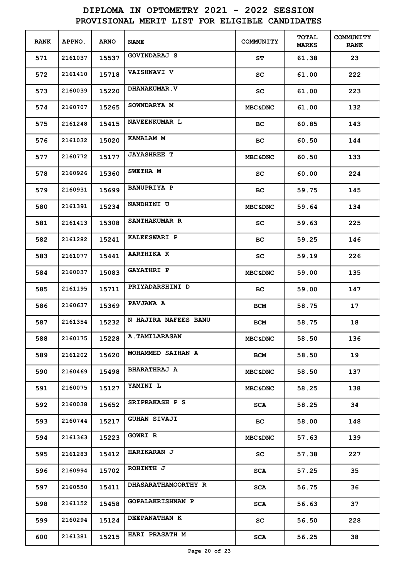| <b>RANK</b> | APPNO.  | <b>ARNO</b> | <b>NAME</b>                | COMMUNITY          | <b>TOTAL</b><br><b>MARKS</b> | <b>COMMUNITY</b><br><b>RANK</b> |
|-------------|---------|-------------|----------------------------|--------------------|------------------------------|---------------------------------|
| 571         | 2161037 | 15537       | GOVINDARAJ S               | SΤ                 | 61.38                        | 23                              |
| 572         | 2161410 | 15718       | <b>VAISHNAVI V</b>         | SC                 | 61.00                        | 222                             |
| 573         | 2160039 | 15220       | <b>DHANAKUMAR.V</b>        | SC                 | 61.00                        | 223                             |
| 574         | 2160707 | 15265       | SOWNDARYA M                | <b>MBC&amp;DNC</b> | 61.00                        | 132                             |
| 575         | 2161248 | 15415       | NAVEENKUMAR L              | BC.                | 60.85                        | 143                             |
| 576         | 2161032 | 15020       | KAMALAM M                  | вc                 | 60.50                        | 144                             |
| 577         | 2160772 | 15177       | <b>JAYASHREE T</b>         | <b>MBC&amp;DNC</b> | 60.50                        | 133                             |
| 578         | 2160926 | 15360       | <b>SWETHA M</b>            | SC                 | 60.00                        | 224                             |
| 579         | 2160931 | 15699       | <b>BANUPRIYA P</b>         | BС                 | 59.75                        | 145                             |
| 580         | 2161391 | 15234       | NANDHINI U                 | <b>MBC&amp;DNC</b> | 59.64                        | 134                             |
| 581         | 2161413 | 15308       | SANTHAKUMAR R              | SC                 | 59.63                        | 225                             |
| 582         | 2161282 | 15241       | KALEESWARI P               | вc                 | 59.25                        | 146                             |
| 583         | 2161077 | 15441       | <b>AARTHIKA K</b>          | SC                 | 59.19                        | 226                             |
| 584         | 2160037 | 15083       | <b>GAYATHRI P</b>          | <b>MBC&amp;DNC</b> | 59.00                        | 135                             |
| 585         | 2161195 | 15711       | PRIYADARSHINI D            | BC.                | 59.00                        | 147                             |
| 586         | 2160637 | 15369       | <b>PAVJANA A</b>           | <b>BCM</b>         | 58.75                        | 17                              |
| 587         | 2161354 | 15232       | N HAJIRA NAFEES BANU       | BCM                | 58.75                        | 18                              |
| 588         | 2160175 | 15228       | <b>A. TAMILARASAN</b>      | <b>MBC&amp;DNC</b> | 58.50                        | 136                             |
| 589         | 2161202 | 15620       | MOHAMMED SAIHAN A          | BCM                | 58.50                        | 19                              |
| 590         | 2160469 | 15498       | <b>BHARATHRAJ A</b>        | <b>MBC&amp;DNC</b> | 58.50                        | 137                             |
| 591         | 2160075 | 15127       | YAMINI L                   | <b>MBC&amp;DNC</b> | 58.25                        | 138                             |
| 592         | 2160038 | 15652       | SRIPRAKASH P S             | SCA                | 58.25                        | 34                              |
| 593         | 2160744 | 15217       | <b>GUHAN SIVAJI</b>        | BC.                | 58.00                        | 148                             |
| 594         | 2161363 | 15223       | <b>GOWRI R</b>             | <b>MBC&amp;DNC</b> | 57.63                        | 139                             |
| 595         | 2161283 | 15412       | <b>HARIKARAN J</b>         | SC                 | 57.38                        | 227                             |
| 596         | 2160994 | 15702       | ROHINTH J                  | SCA                | 57.25                        | 35                              |
| 597         | 2160550 | 15411       | <b>DHASARATHAMOORTHY R</b> | SCA                | 56.75                        | 36                              |
| 598         | 2161152 | 15458       | <b>GOPALAKRISHNAN P</b>    | SCA                | 56.63                        | 37                              |
| 599         | 2160294 | 15124       | DEEPANATHAN K              | SC                 | 56.50                        | 228                             |
| 600         | 2161381 | 15215       | <b>HARI PRASATH M</b>      | SCA                | 56.25                        | 38                              |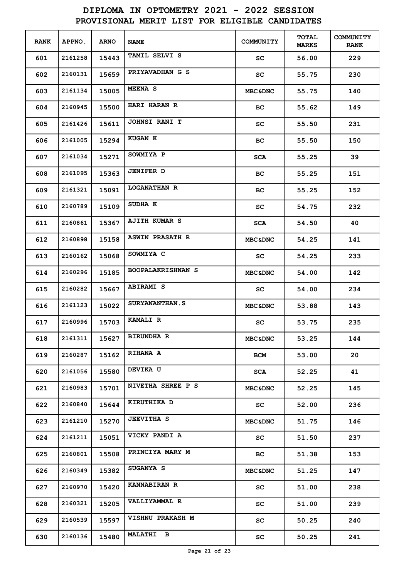| <b>RANK</b> | APPNO.  | <b>ARNO</b> | <b>NAME</b>              | COMMUNITY          | <b>TOTAL</b><br><b>MARKS</b> | <b>COMMUNITY</b><br><b>RANK</b> |
|-------------|---------|-------------|--------------------------|--------------------|------------------------------|---------------------------------|
| 601         | 2161258 | 15443       | TAMIL SELVI S            | SC                 | 56.00                        | 229                             |
| 602         | 2160131 | 15659       | PRIYAVADHAN G S          | SC                 | 55.75                        | 230                             |
| 603         | 2161134 | 15005       | <b>MEENA S</b>           | <b>MBC&amp;DNC</b> | 55.75                        | 140                             |
| 604         | 2160945 | 15500       | <b>HARI HARAN R</b>      | BС                 | 55.62                        | 149                             |
| 605         | 2161426 | 15611       | <b>JOHNSI RANI T</b>     | SC                 | 55.50                        | 231                             |
| 606         | 2161005 | 15294       | <b>KUGAN K</b>           | BС                 | 55.50                        | 150                             |
| 607         | 2161034 | 15271       | SOWMIYA P                | <b>SCA</b>         | 55.25                        | 39                              |
| 608         | 2161095 | 15363       | <b>JENIFER D</b>         | BС                 | 55.25                        | 151                             |
| 609         | 2161321 | 15091       | <b>LOGANATHAN R</b>      | BС                 | 55.25                        | 152                             |
| 610         | 2160789 | 15109       | SUDHA K                  | SC                 | 54.75                        | 232                             |
| 611         | 2160861 | 15367       | <b>AJITH KUMAR S</b>     | <b>SCA</b>         | 54.50                        | 40                              |
| 612         | 2160898 | 15158       | <b>ASWIN PRASATH R</b>   | <b>MBC&amp;DNC</b> | 54.25                        | 141                             |
| 613         | 2160162 | 15068       | SOWMIYA C                | SC                 | 54.25                        | 233                             |
| 614         | 2160296 | 15185       | <b>BOOPALAKRISHNAN S</b> | <b>MBC&amp;DNC</b> | 54.00                        | 142                             |
| 615         | 2160282 | 15667       | <b>ABIRAMI S</b>         | SC.                | 54.00                        | 234                             |
| 616         | 2161123 | 15022       | <b>SURYANANTHAN.S</b>    | <b>MBC&amp;DNC</b> | 53.88                        | 143                             |
| 617         | 2160996 | 15703       | <b>KAMALI R</b>          | SC                 | 53.75                        | 235                             |
| 618         | 2161311 | 15627       | <b>BIRUNDHA R</b>        | <b>MBC&amp;DNC</b> | 53.25                        | 144                             |
| 619         | 2160287 | 15162       | <b>RIHANA A</b>          | BCM                | 53.00                        | 20                              |
| 620         | 2161056 | 15580       | <b>DEVIKA U</b>          | SCA                | 52.25                        | 41                              |
| 621         | 2160983 | 15701       | NIVETHA SHREE P S        | <b>MBC&amp;DNC</b> | 52.25                        | 145                             |
| 622         | 2160840 | 15644       | KIRUTHIKA D              | SC                 | 52.00                        | 236                             |
| 623         | 2161210 | 15270       | <b>JEEVITHA S</b>        | <b>MBC&amp;DNC</b> | 51.75                        | 146                             |
| 624         | 2161211 | 15051       | VICKY PANDI A            | SC.                | 51.50                        | 237                             |
| 625         | 2160801 | 15508       | PRINCIYA MARY M          | BC                 | 51.38                        | 153                             |
| 626         | 2160349 | 15382       | <b>SUGANYA S</b>         | <b>MBC&amp;DNC</b> | 51.25                        | 147                             |
| 627         | 2160970 | 15420       | <b>KANNABIRAN R</b>      | SC                 | 51.00                        | 238                             |
| 628         | 2160321 | 15205       | VALLIYAMMAL R            | SC                 | 51.00                        | 239                             |
| 629         | 2160539 | 15597       | <b>VISHNU PRAKASH M</b>  | SC                 | 50.25                        | 240                             |
| 630         | 2160136 | 15480       | <b>MALATHI B</b>         | SC                 | 50.25                        | 241                             |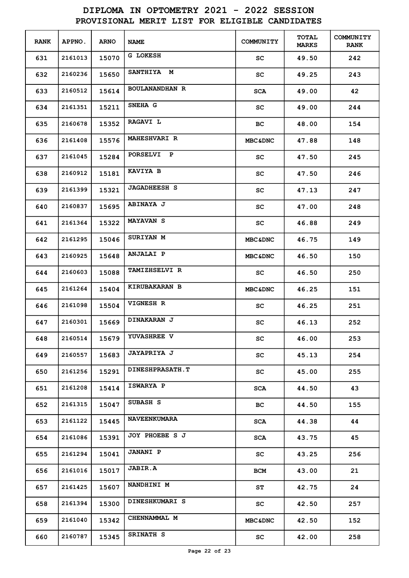| <b>RANK</b> | <b>APPNO.</b> | <b>ARNO</b> | <b>NAME</b>            | <b>COMMUNITY</b>    | <b>TOTAL</b><br><b>MARKS</b> | COMMUNITY<br><b>RANK</b> |
|-------------|---------------|-------------|------------------------|---------------------|------------------------------|--------------------------|
| 631         | 2161013       | 15070       | G LOKESH               | sc                  | 49.50                        | 242                      |
| 632         | 2160236       | 15650       | SANTHIYA M             | sc                  | 49.25                        | 243                      |
| 633         | 2160512       | 15614       | <b>BOULANANDHAN R</b>  | <b>SCA</b>          | 49.00                        | 42                       |
| 634         | 2161351       | 15211       | SNEHA G                | SC.                 | 49.00                        | 244                      |
| 635         | 2160678       | 15352       | RAGAVI L               | BC.                 | 48.00                        | 154                      |
| 636         | 2161408       | 15576       | <b>MAHESHVARI R</b>    | <b>MBC&amp;DNC</b>  | 47.88                        | 148                      |
| 637         | 2161045       | 15284       | PORSELVI P             | SC.                 | 47.50                        | 245                      |
| 638         | 2160912       | 15181       | KAVIYA B               | sc                  | 47.50                        | 246                      |
| 639         | 2161399       | 15321       | <b>JAGADHEESH S</b>    | sc                  | 47.13                        | 247                      |
| 640         | 2160837       | 15695       | <b>ABINAYA J</b>       | SC                  | 47.00                        | 248                      |
| 641         | 2161364       | 15322       | <b>MAYAVAN S</b>       | SC                  | 46.88                        | 249                      |
| 642         | 2161295       | 15046       | <b>SURIYAN M</b>       | <b>MBC&amp;DNC</b>  | 46.75                        | 149                      |
| 643         | 2160925       | 15648       | <b>ANJALAI P</b>       | <b>MBC&amp;DNC</b>  | 46.50                        | 150                      |
| 644         | 2160603       | 15088       | <b>TAMIZHSELVI R</b>   | SC                  | 46.50                        | 250                      |
| 645         | 2161264       | 15404       | <b>KIRUBAKARAN B</b>   | <b>MBC&amp;DNC</b>  | 46.25                        | 151                      |
| 646         | 2161098       | 15504       | <b>VIGNESH R</b>       | SC                  | 46.25                        | 251                      |
| 647         | 2160301       | 15669       | <b>DINAKARAN J</b>     | $\operatorname{sc}$ | 46.13                        | 252                      |
| 648         | 2160514       | 15679       | <b>YUVASHREE V</b>     | SC                  | 46.00                        | 253                      |
| 649         | 2160557       | 15683       | <b>JAYAPRIYA J</b>     | SC                  | 45.13                        | 254                      |
| 650         | 2161256       | 15291       | <b>DINESHPRASATH.T</b> | SC                  | 45.00                        | 255                      |
| 651         | 2161208       | 15414       | ISWARYA P              | SCA                 | 44.50                        | 43                       |
| 652         | 2161315       | 15047       | SUBASH S               | BC                  | 44.50                        | 155                      |
| 653         | 2161122       | 15445       | <b>NAVEENKUMARA</b>    | SCA                 | 44.38                        | 44                       |
| 654         | 2161086       | 15391       | JOY PHOEBE S J         | SCA                 | 43.75                        | 45                       |
| 655         | 2161294       | 15041       | <b>JANANI P</b>        | SC.                 | 43.25                        | 256                      |
| 656         | 2161016       | 15017       | <b>JABIR.A</b>         | <b>BCM</b>          | 43.00                        | 21                       |
| 657         | 2161425       | 15607       | NANDHINI M             | ST                  | 42.75                        | 24                       |
| 658         | 2161394       | 15300       | DINESHKUMARI S         | SC                  | 42.50                        | 257                      |
| 659         | 2161040       | 15342       | CHENNAMMAL M           | <b>MBC&amp;DNC</b>  | 42.50                        | 152                      |
| 660         | 2160787       | 15345       | <b>SRINATH S</b>       | SC                  | 42.00                        | 258                      |